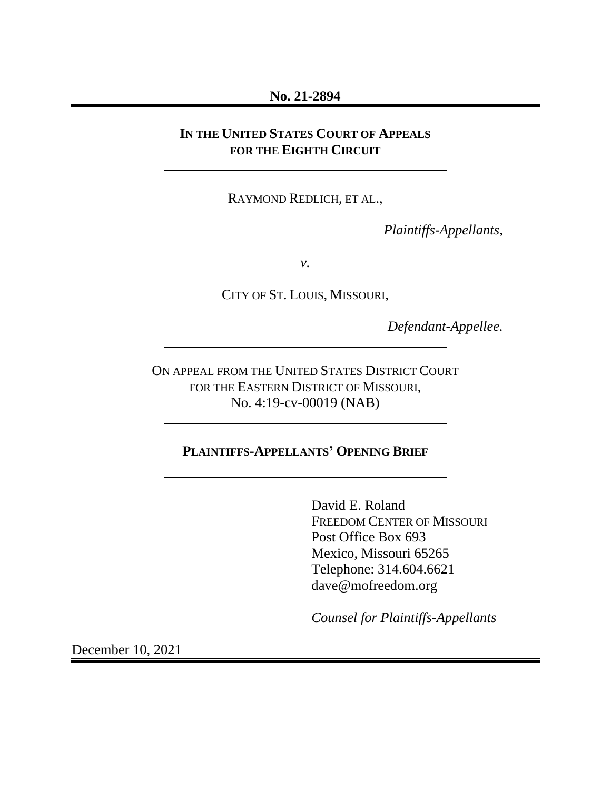### **No. 21-2894**

# **IN THE UNITED STATES COURT OF APPEALS FOR THE EIGHTH CIRCUIT**

RAYMOND REDLICH, ET AL.,

*Plaintiffs-Appellants*,

*v.*

CITY OF ST. LOUIS, MISSOURI,

*Defendant-Appellee.*

ON APPEAL FROM THE UNITED STATES DISTRICT COURT FOR THE EASTERN DISTRICT OF MISSOURI, No. 4:19-cv-00019 (NAB)

# **PLAINTIFFS-APPELLANTS' OPENING BRIEF**

David E. Roland FREEDOM CENTER OF MISSOURI Post Office Box 693 Mexico, Missouri 65265 Telephone: 314.604.6621 dave@mofreedom.org

*Counsel for Plaintiffs-Appellants*

December 10, 2021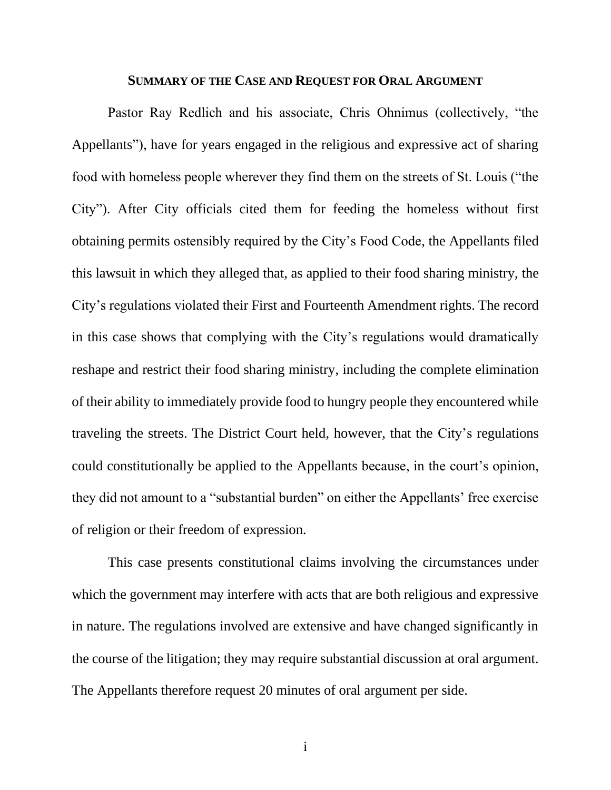#### **SUMMARY OF THE CASE AND REQUEST FOR ORAL ARGUMENT**

Pastor Ray Redlich and his associate, Chris Ohnimus (collectively, "the Appellants"), have for years engaged in the religious and expressive act of sharing food with homeless people wherever they find them on the streets of St. Louis ("the City"). After City officials cited them for feeding the homeless without first obtaining permits ostensibly required by the City's Food Code, the Appellants filed this lawsuit in which they alleged that, as applied to their food sharing ministry, the City's regulations violated their First and Fourteenth Amendment rights. The record in this case shows that complying with the City's regulations would dramatically reshape and restrict their food sharing ministry, including the complete elimination of their ability to immediately provide food to hungry people they encountered while traveling the streets. The District Court held, however, that the City's regulations could constitutionally be applied to the Appellants because, in the court's opinion, they did not amount to a "substantial burden" on either the Appellants' free exercise of religion or their freedom of expression.

This case presents constitutional claims involving the circumstances under which the government may interfere with acts that are both religious and expressive in nature. The regulations involved are extensive and have changed significantly in the course of the litigation; they may require substantial discussion at oral argument. The Appellants therefore request 20 minutes of oral argument per side.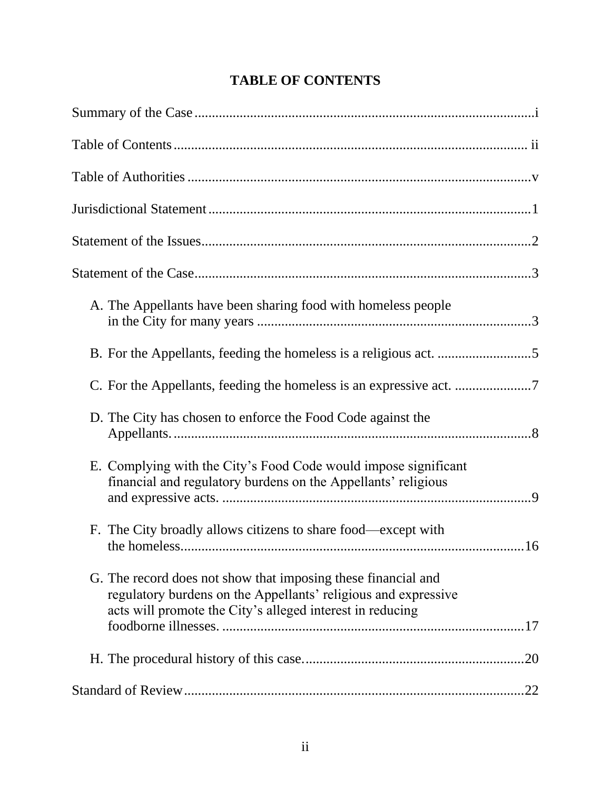| A. The Appellants have been sharing food with homeless people                                                                                                                                |     |
|----------------------------------------------------------------------------------------------------------------------------------------------------------------------------------------------|-----|
|                                                                                                                                                                                              |     |
|                                                                                                                                                                                              |     |
| D. The City has chosen to enforce the Food Code against the                                                                                                                                  |     |
| E. Complying with the City's Food Code would impose significant<br>financial and regulatory burdens on the Appellants' religious                                                             |     |
| F. The City broadly allows citizens to share food—except with                                                                                                                                | .16 |
| G. The record does not show that imposing these financial and<br>regulatory burdens on the Appellants' religious and expressive<br>acts will promote the City's alleged interest in reducing |     |
|                                                                                                                                                                                              |     |
|                                                                                                                                                                                              |     |

# **TABLE OF CONTENTS**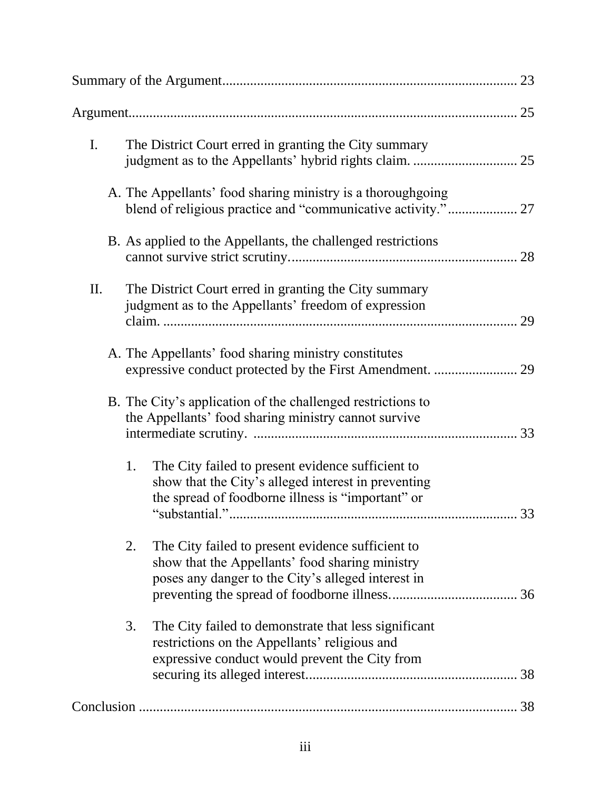| $\mathbf{I}$ . | The District Court erred in granting the City summary                                                                                                               |    |
|----------------|---------------------------------------------------------------------------------------------------------------------------------------------------------------------|----|
|                | A. The Appellants' food sharing ministry is a thoroughgoing                                                                                                         |    |
|                | B. As applied to the Appellants, the challenged restrictions                                                                                                        |    |
| Π.             | The District Court erred in granting the City summary<br>judgment as to the Appellants' freedom of expression                                                       | 29 |
|                | A. The Appellants' food sharing ministry constitutes                                                                                                                |    |
|                | B. The City's application of the challenged restrictions to<br>the Appellants' food sharing ministry cannot survive                                                 |    |
|                | The City failed to present evidence sufficient to<br>1.<br>show that the City's alleged interest in preventing<br>the spread of foodborne illness is "important" or | 33 |
|                | 2.<br>The City failed to present evidence sufficient to<br>show that the Appellants' food sharing ministry<br>poses any danger to the City's alleged interest in    |    |
|                | 3.<br>The City failed to demonstrate that less significant<br>restrictions on the Appellants' religious and<br>expressive conduct would prevent the City from       |    |
|                |                                                                                                                                                                     | 38 |
|                |                                                                                                                                                                     |    |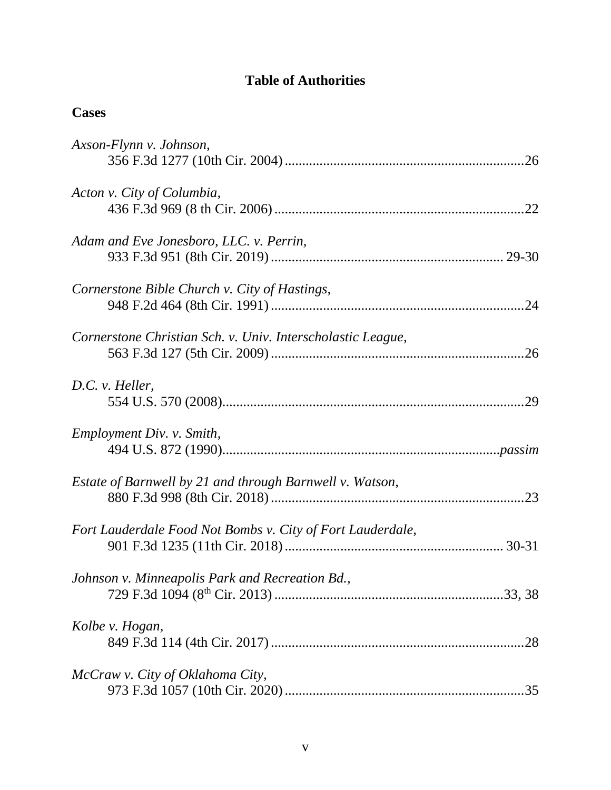# **Table of Authorities**

| Axson-Flynn v. Johnson,                                     |
|-------------------------------------------------------------|
| Acton v. City of Columbia,                                  |
| Adam and Eve Jonesboro, LLC. v. Perrin,                     |
| Cornerstone Bible Church v. City of Hastings,               |
| Cornerstone Christian Sch. v. Univ. Interscholastic League, |
| D.C. v. Heller,                                             |
| Employment Div. v. Smith,                                   |
| Estate of Barnwell by 21 and through Barnwell v. Watson,    |
| Fort Lauderdale Food Not Bombs v. City of Fort Lauderdale,  |
| Johnson v. Minneapolis Park and Recreation Bd.,             |
| Kolbe v. Hogan,                                             |
| McCraw v. City of Oklahoma City,                            |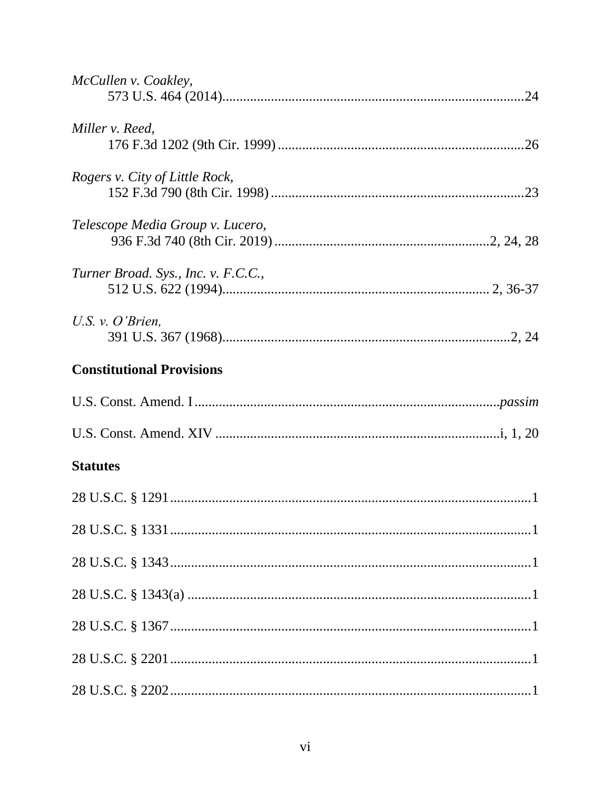| McCullen v. Coakley,                |
|-------------------------------------|
| Miller v. Reed,                     |
| Rogers v. City of Little Rock,      |
| Telescope Media Group v. Lucero,    |
| Turner Broad. Sys., Inc. v. F.C.C., |
| U.S. v. $O'$ Brien,                 |
| <b>Constitutional Provisions</b>    |
|                                     |
|                                     |
| <b>Statutes</b>                     |
|                                     |
|                                     |
|                                     |
|                                     |
|                                     |
|                                     |
|                                     |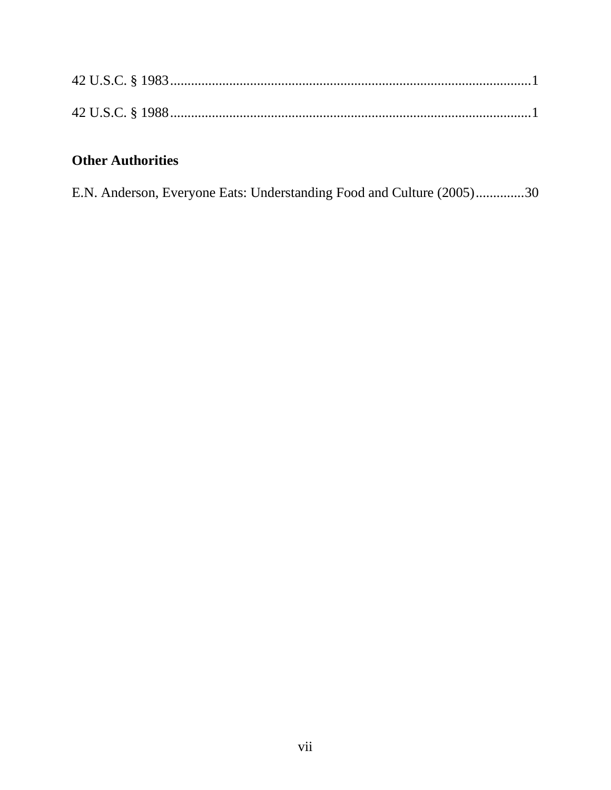# **Other Authorities**

E.N. Anderson, Everyone Eats: Understanding Food and Culture (2005)..............30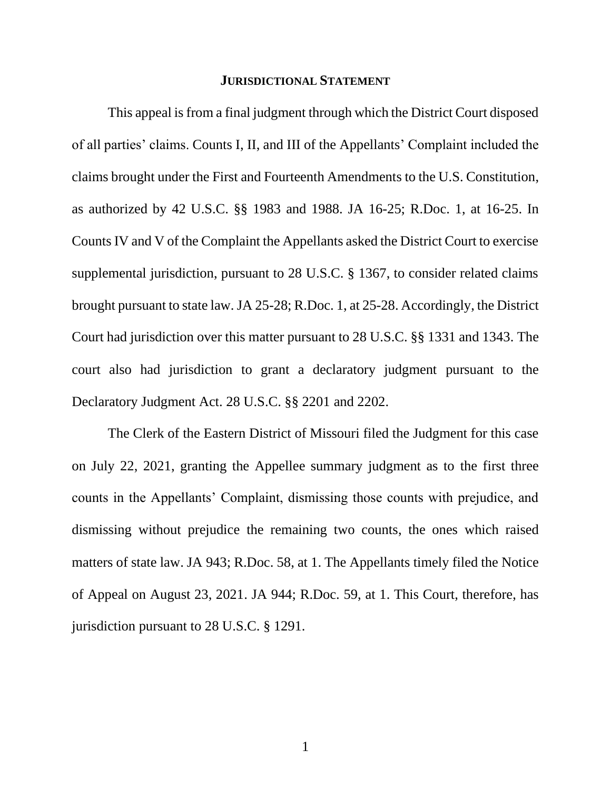#### **JURISDICTIONAL STATEMENT**

This appeal is from a final judgment through which the District Court disposed of all parties' claims. Counts I, II, and III of the Appellants' Complaint included the claims brought under the First and Fourteenth Amendments to the U.S. Constitution, as authorized by 42 U.S.C. §§ 1983 and 1988. JA 16-25; R.Doc. 1, at 16-25. In Counts IV and V of the Complaint the Appellants asked the District Court to exercise supplemental jurisdiction, pursuant to 28 U.S.C. § 1367, to consider related claims brought pursuant to state law. JA 25-28; R.Doc. 1, at 25-28. Accordingly, the District Court had jurisdiction over this matter pursuant to 28 U.S.C. §§ 1331 and 1343. The court also had jurisdiction to grant a declaratory judgment pursuant to the Declaratory Judgment Act. 28 U.S.C. §§ 2201 and 2202.

The Clerk of the Eastern District of Missouri filed the Judgment for this case on July 22, 2021, granting the Appellee summary judgment as to the first three counts in the Appellants' Complaint, dismissing those counts with prejudice, and dismissing without prejudice the remaining two counts, the ones which raised matters of state law. JA 943; R.Doc. 58, at 1. The Appellants timely filed the Notice of Appeal on August 23, 2021. JA 944; R.Doc. 59, at 1. This Court, therefore, has jurisdiction pursuant to 28 U.S.C. § 1291.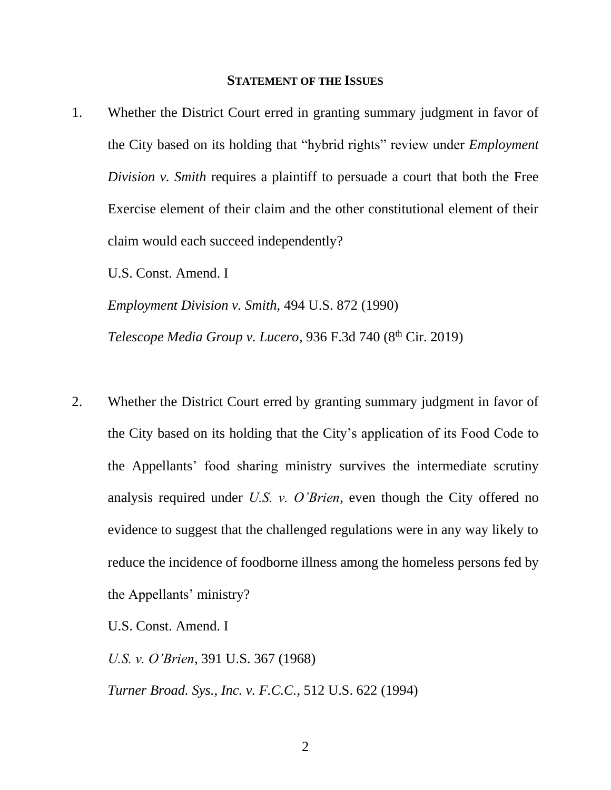#### **STATEMENT OF THE ISSUES**

1. Whether the District Court erred in granting summary judgment in favor of the City based on its holding that "hybrid rights" review under *Employment Division v. Smith* requires a plaintiff to persuade a court that both the Free Exercise element of their claim and the other constitutional element of their claim would each succeed independently?

U.S. Const. Amend. I

*Employment Division v. Smith,* 494 U.S. 872 (1990) *Telescope Media Group v. Lucero, 936 F.3d 740 (8<sup>th</sup> Cir. 2019)* 

2. Whether the District Court erred by granting summary judgment in favor of the City based on its holding that the City's application of its Food Code to the Appellants' food sharing ministry survives the intermediate scrutiny analysis required under *U.S. v. O'Brien*, even though the City offered no evidence to suggest that the challenged regulations were in any way likely to reduce the incidence of foodborne illness among the homeless persons fed by the Appellants' ministry?

U.S. Const. Amend. I

*U.S. v. O'Brien*, 391 U.S. 367 (1968)

*Turner Broad. Sys., Inc. v. F.C.C.*, 512 U.S. 622 (1994)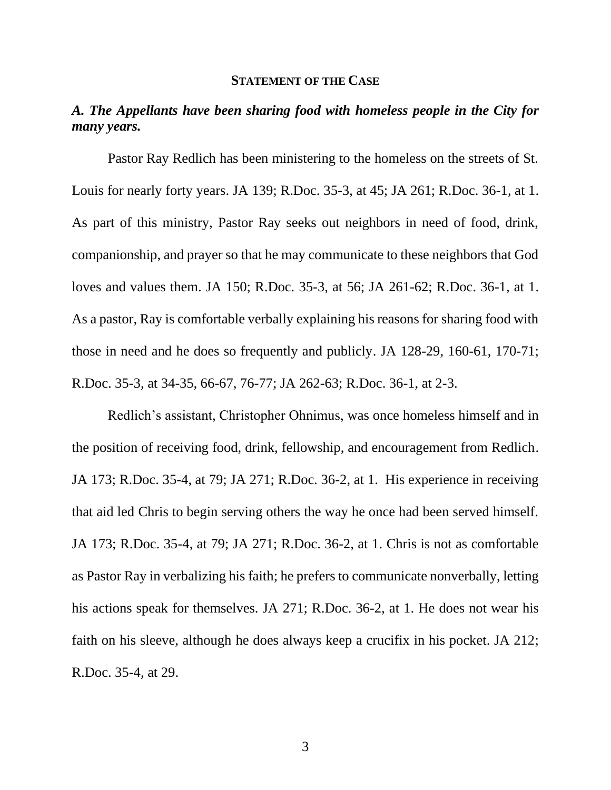#### **STATEMENT OF THE CASE**

# *A. The Appellants have been sharing food with homeless people in the City for many years.*

Pastor Ray Redlich has been ministering to the homeless on the streets of St. Louis for nearly forty years. JA 139; R.Doc. 35-3, at 45; JA 261; R.Doc. 36-1, at 1. As part of this ministry, Pastor Ray seeks out neighbors in need of food, drink, companionship, and prayer so that he may communicate to these neighbors that God loves and values them. JA 150; R.Doc. 35-3, at 56; JA 261-62; R.Doc. 36-1, at 1. As a pastor, Ray is comfortable verbally explaining his reasons for sharing food with those in need and he does so frequently and publicly. JA 128-29, 160-61, 170-71; R.Doc. 35-3, at 34-35, 66-67, 76-77; JA 262-63; R.Doc. 36-1, at 2-3.

Redlich's assistant, Christopher Ohnimus, was once homeless himself and in the position of receiving food, drink, fellowship, and encouragement from Redlich. JA 173; R.Doc. 35-4, at 79; JA 271; R.Doc. 36-2, at 1. His experience in receiving that aid led Chris to begin serving others the way he once had been served himself. JA 173; R.Doc. 35-4, at 79; JA 271; R.Doc. 36-2, at 1. Chris is not as comfortable as Pastor Ray in verbalizing his faith; he prefers to communicate nonverbally, letting his actions speak for themselves. JA 271; R.Doc. 36-2, at 1. He does not wear his faith on his sleeve, although he does always keep a crucifix in his pocket. JA 212; R.Doc. 35-4, at 29.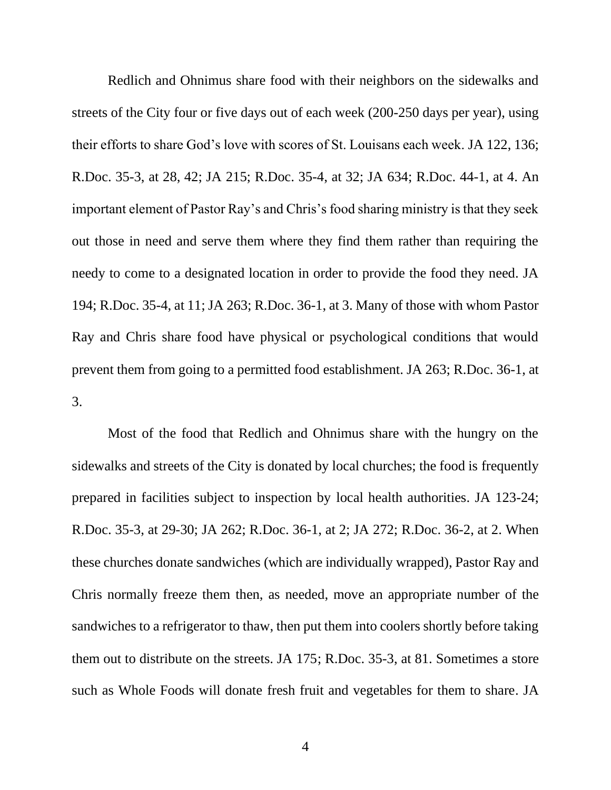Redlich and Ohnimus share food with their neighbors on the sidewalks and streets of the City four or five days out of each week (200-250 days per year), using their efforts to share God's love with scores of St. Louisans each week. JA 122, 136; R.Doc. 35-3, at 28, 42; JA 215; R.Doc. 35-4, at 32; JA 634; R.Doc. 44-1, at 4. An important element of Pastor Ray's and Chris's food sharing ministry is that they seek out those in need and serve them where they find them rather than requiring the needy to come to a designated location in order to provide the food they need. JA 194; R.Doc. 35-4, at 11; JA 263; R.Doc. 36-1, at 3. Many of those with whom Pastor Ray and Chris share food have physical or psychological conditions that would prevent them from going to a permitted food establishment. JA 263; R.Doc. 36-1, at 3.

Most of the food that Redlich and Ohnimus share with the hungry on the sidewalks and streets of the City is donated by local churches; the food is frequently prepared in facilities subject to inspection by local health authorities. JA 123-24; R.Doc. 35-3, at 29-30; JA 262; R.Doc. 36-1, at 2; JA 272; R.Doc. 36-2, at 2. When these churches donate sandwiches (which are individually wrapped), Pastor Ray and Chris normally freeze them then, as needed, move an appropriate number of the sandwiches to a refrigerator to thaw, then put them into coolers shortly before taking them out to distribute on the streets. JA 175; R.Doc. 35-3, at 81. Sometimes a store such as Whole Foods will donate fresh fruit and vegetables for them to share. JA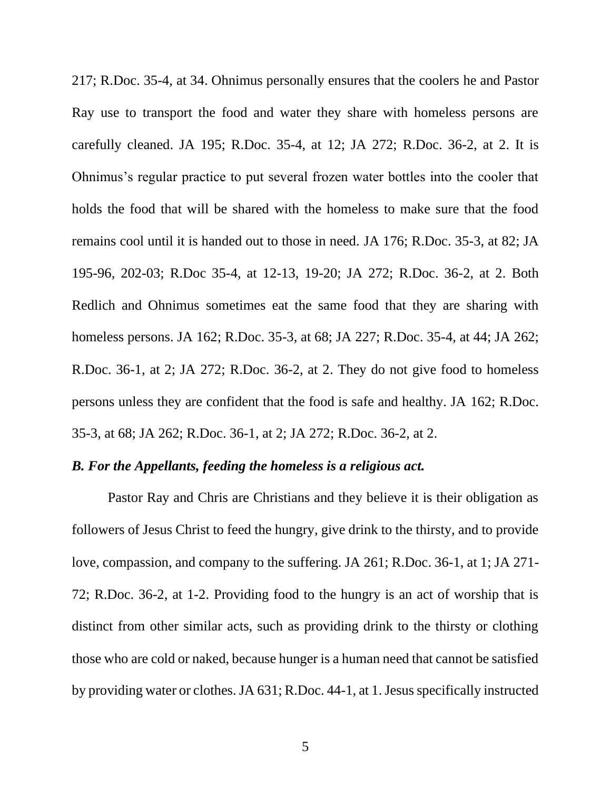217; R.Doc. 35-4, at 34. Ohnimus personally ensures that the coolers he and Pastor Ray use to transport the food and water they share with homeless persons are carefully cleaned. JA 195; R.Doc. 35-4, at 12; JA 272; R.Doc. 36-2, at 2. It is Ohnimus's regular practice to put several frozen water bottles into the cooler that holds the food that will be shared with the homeless to make sure that the food remains cool until it is handed out to those in need. JA 176; R.Doc. 35-3, at 82; JA 195-96, 202-03; R.Doc 35-4, at 12-13, 19-20; JA 272; R.Doc. 36-2, at 2. Both Redlich and Ohnimus sometimes eat the same food that they are sharing with homeless persons. JA 162; R.Doc. 35-3, at 68; JA 227; R.Doc. 35-4, at 44; JA 262; R.Doc. 36-1, at 2; JA 272; R.Doc. 36-2, at 2. They do not give food to homeless persons unless they are confident that the food is safe and healthy. JA 162; R.Doc. 35-3, at 68; JA 262; R.Doc. 36-1, at 2; JA 272; R.Doc. 36-2, at 2.

#### *B. For the Appellants, feeding the homeless is a religious act.*

Pastor Ray and Chris are Christians and they believe it is their obligation as followers of Jesus Christ to feed the hungry, give drink to the thirsty, and to provide love, compassion, and company to the suffering. JA 261; R.Doc. 36-1, at 1; JA 271- 72; R.Doc. 36-2, at 1-2. Providing food to the hungry is an act of worship that is distinct from other similar acts, such as providing drink to the thirsty or clothing those who are cold or naked, because hunger is a human need that cannot be satisfied by providing water or clothes. JA 631; R.Doc. 44-1, at 1.Jesus specifically instructed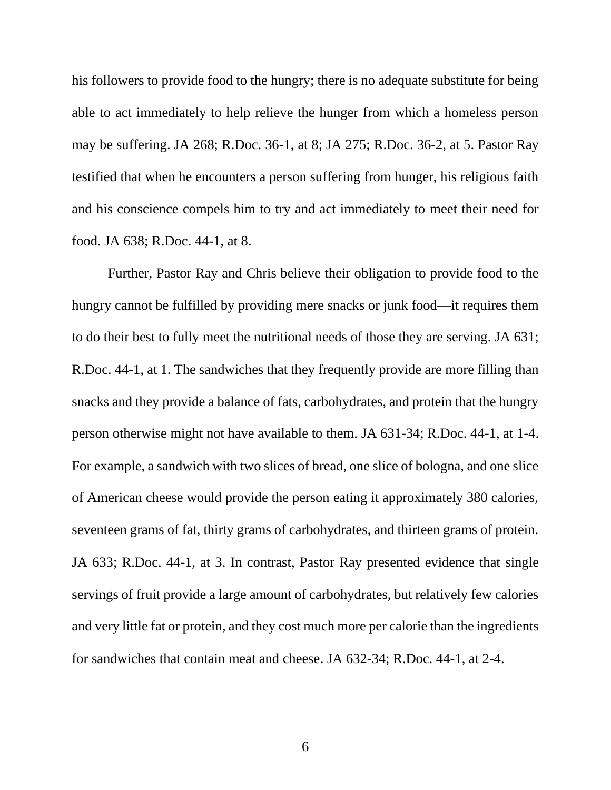his followers to provide food to the hungry; there is no adequate substitute for being able to act immediately to help relieve the hunger from which a homeless person may be suffering. JA 268; R.Doc. 36-1, at 8; JA 275; R.Doc. 36-2, at 5. Pastor Ray testified that when he encounters a person suffering from hunger, his religious faith and his conscience compels him to try and act immediately to meet their need for food. JA 638; R.Doc. 44-1, at 8.

Further, Pastor Ray and Chris believe their obligation to provide food to the hungry cannot be fulfilled by providing mere snacks or junk food—it requires them to do their best to fully meet the nutritional needs of those they are serving. JA 631; R.Doc. 44-1, at 1. The sandwiches that they frequently provide are more filling than snacks and they provide a balance of fats, carbohydrates, and protein that the hungry person otherwise might not have available to them. JA 631-34; R.Doc. 44-1, at 1-4. For example, a sandwich with two slices of bread, one slice of bologna, and one slice of American cheese would provide the person eating it approximately 380 calories, seventeen grams of fat, thirty grams of carbohydrates, and thirteen grams of protein. JA 633; R.Doc. 44-1, at 3. In contrast, Pastor Ray presented evidence that single servings of fruit provide a large amount of carbohydrates, but relatively few calories and very little fat or protein, and they cost much more per calorie than the ingredients for sandwiches that contain meat and cheese. JA 632-34; R.Doc. 44-1, at 2-4.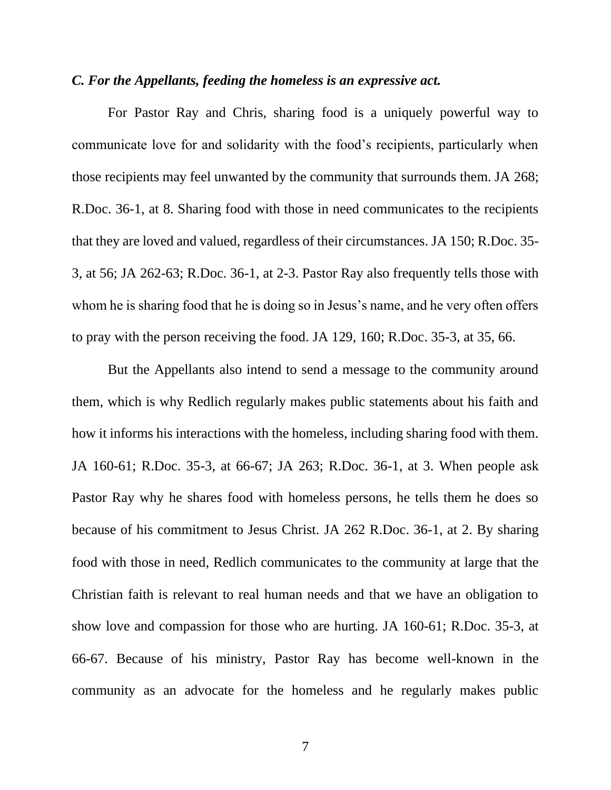### *C. For the Appellants, feeding the homeless is an expressive act.*

For Pastor Ray and Chris, sharing food is a uniquely powerful way to communicate love for and solidarity with the food's recipients, particularly when those recipients may feel unwanted by the community that surrounds them. JA 268; R.Doc. 36-1, at 8. Sharing food with those in need communicates to the recipients that they are loved and valued, regardless of their circumstances. JA 150; R.Doc. 35- 3, at 56; JA 262-63; R.Doc. 36-1, at 2-3. Pastor Ray also frequently tells those with whom he is sharing food that he is doing so in Jesus's name, and he very often offers to pray with the person receiving the food. JA 129, 160; R.Doc. 35-3, at 35, 66.

But the Appellants also intend to send a message to the community around them, which is why Redlich regularly makes public statements about his faith and how it informs his interactions with the homeless, including sharing food with them. JA 160-61; R.Doc. 35-3, at 66-67; JA 263; R.Doc. 36-1, at 3. When people ask Pastor Ray why he shares food with homeless persons, he tells them he does so because of his commitment to Jesus Christ. JA 262 R.Doc. 36-1, at 2. By sharing food with those in need, Redlich communicates to the community at large that the Christian faith is relevant to real human needs and that we have an obligation to show love and compassion for those who are hurting. JA 160-61; R.Doc. 35-3, at 66-67. Because of his ministry, Pastor Ray has become well-known in the community as an advocate for the homeless and he regularly makes public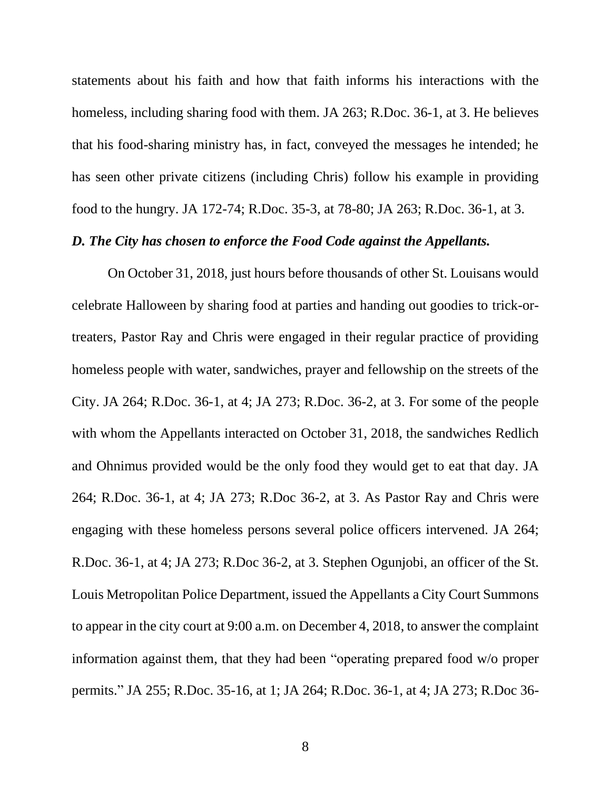statements about his faith and how that faith informs his interactions with the homeless, including sharing food with them. JA 263; R.Doc. 36-1, at 3. He believes that his food-sharing ministry has, in fact, conveyed the messages he intended; he has seen other private citizens (including Chris) follow his example in providing food to the hungry. JA 172-74; R.Doc. 35-3, at 78-80; JA 263; R.Doc. 36-1, at 3.

### *D. The City has chosen to enforce the Food Code against the Appellants.*

On October 31, 2018, just hours before thousands of other St. Louisans would celebrate Halloween by sharing food at parties and handing out goodies to trick-ortreaters, Pastor Ray and Chris were engaged in their regular practice of providing homeless people with water, sandwiches, prayer and fellowship on the streets of the City. JA 264; R.Doc. 36-1, at 4; JA 273; R.Doc. 36-2, at 3. For some of the people with whom the Appellants interacted on October 31, 2018, the sandwiches Redlich and Ohnimus provided would be the only food they would get to eat that day. JA 264; R.Doc. 36-1, at 4; JA 273; R.Doc 36-2, at 3. As Pastor Ray and Chris were engaging with these homeless persons several police officers intervened. JA 264; R.Doc. 36-1, at 4; JA 273; R.Doc 36-2, at 3. Stephen Ogunjobi, an officer of the St. Louis Metropolitan Police Department, issued the Appellants a City Court Summons to appear in the city court at 9:00 a.m. on December 4, 2018, to answer the complaint information against them, that they had been "operating prepared food w/o proper permits." JA 255; R.Doc. 35-16, at 1; JA 264; R.Doc. 36-1, at 4; JA 273; R.Doc 36-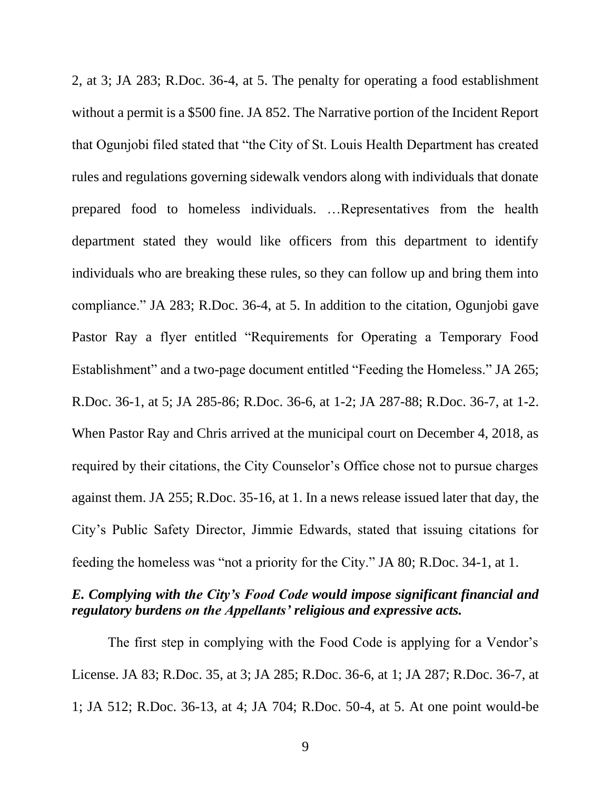2, at 3; JA 283; R.Doc. 36-4, at 5. The penalty for operating a food establishment without a permit is a \$500 fine. JA 852. The Narrative portion of the Incident Report that Ogunjobi filed stated that "the City of St. Louis Health Department has created rules and regulations governing sidewalk vendors along with individuals that donate prepared food to homeless individuals. …Representatives from the health department stated they would like officers from this department to identify individuals who are breaking these rules, so they can follow up and bring them into compliance." JA 283; R.Doc. 36-4, at 5. In addition to the citation, Ogunjobi gave Pastor Ray a flyer entitled "Requirements for Operating a Temporary Food Establishment" and a two-page document entitled "Feeding the Homeless." JA 265; R.Doc. 36-1, at 5; JA 285-86; R.Doc. 36-6, at 1-2; JA 287-88; R.Doc. 36-7, at 1-2. When Pastor Ray and Chris arrived at the municipal court on December 4, 2018, as required by their citations, the City Counselor's Office chose not to pursue charges against them. JA 255; R.Doc. 35-16, at 1. In a news release issued later that day, the City's Public Safety Director, Jimmie Edwards, stated that issuing citations for feeding the homeless was "not a priority for the City." JA 80; R.Doc. 34-1, at 1.

# *E. Complying with the City's Food Code would impose significant financial and regulatory burdens on the Appellants' religious and expressive acts.*

The first step in complying with the Food Code is applying for a Vendor's License. JA 83; R.Doc. 35, at 3; JA 285; R.Doc. 36-6, at 1; JA 287; R.Doc. 36-7, at 1; JA 512; R.Doc. 36-13, at 4; JA 704; R.Doc. 50-4, at 5. At one point would-be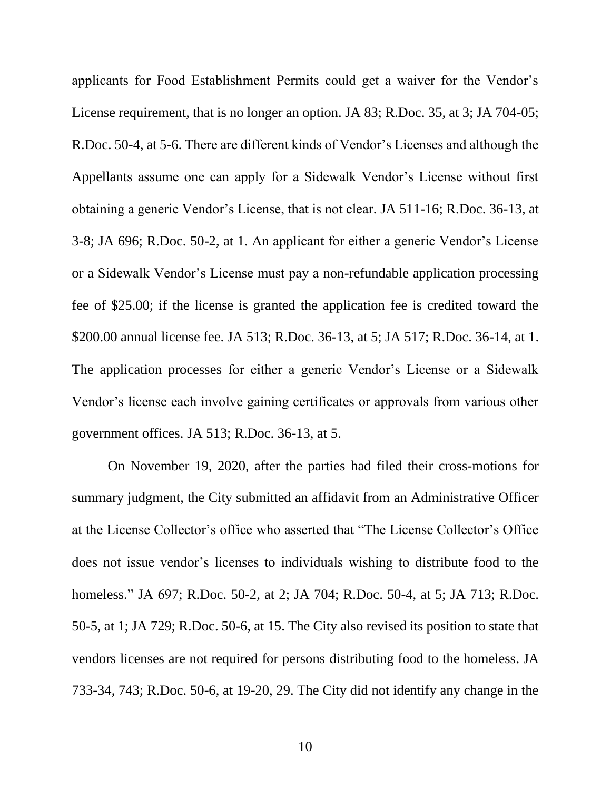applicants for Food Establishment Permits could get a waiver for the Vendor's License requirement, that is no longer an option. JA 83; R.Doc. 35, at 3; JA 704-05; R.Doc. 50-4, at 5-6. There are different kinds of Vendor's Licenses and although the Appellants assume one can apply for a Sidewalk Vendor's License without first obtaining a generic Vendor's License, that is not clear. JA 511-16; R.Doc. 36-13, at 3-8; JA 696; R.Doc. 50-2, at 1. An applicant for either a generic Vendor's License or a Sidewalk Vendor's License must pay a non-refundable application processing fee of \$25.00; if the license is granted the application fee is credited toward the \$200.00 annual license fee. JA 513; R.Doc. 36-13, at 5; JA 517; R.Doc. 36-14, at 1. The application processes for either a generic Vendor's License or a Sidewalk Vendor's license each involve gaining certificates or approvals from various other government offices. JA 513; R.Doc. 36-13, at 5.

On November 19, 2020, after the parties had filed their cross-motions for summary judgment, the City submitted an affidavit from an Administrative Officer at the License Collector's office who asserted that "The License Collector's Office does not issue vendor's licenses to individuals wishing to distribute food to the homeless." JA 697; R.Doc. 50-2, at 2; JA 704; R.Doc. 50-4, at 5; JA 713; R.Doc. 50-5, at 1; JA 729; R.Doc. 50-6, at 15. The City also revised its position to state that vendors licenses are not required for persons distributing food to the homeless. JA 733-34, 743; R.Doc. 50-6, at 19-20, 29. The City did not identify any change in the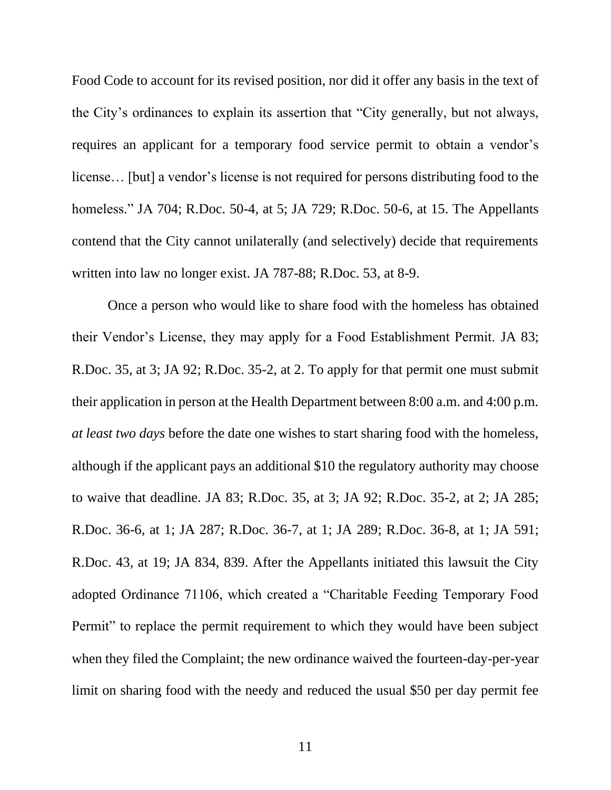Food Code to account for its revised position, nor did it offer any basis in the text of the City's ordinances to explain its assertion that "City generally, but not always, requires an applicant for a temporary food service permit to obtain a vendor's license… [but] a vendor's license is not required for persons distributing food to the homeless." JA 704; R.Doc. 50-4, at 5; JA 729; R.Doc. 50-6, at 15. The Appellants contend that the City cannot unilaterally (and selectively) decide that requirements written into law no longer exist. JA 787-88; R.Doc. 53, at 8-9.

Once a person who would like to share food with the homeless has obtained their Vendor's License, they may apply for a Food Establishment Permit. JA 83; R.Doc. 35, at 3; JA 92; R.Doc. 35-2, at 2. To apply for that permit one must submit their application in person at the Health Department between 8:00 a.m. and 4:00 p.m. *at least two days* before the date one wishes to start sharing food with the homeless, although if the applicant pays an additional \$10 the regulatory authority may choose to waive that deadline. JA 83; R.Doc. 35, at 3; JA 92; R.Doc. 35-2, at 2; JA 285; R.Doc. 36-6, at 1; JA 287; R.Doc. 36-7, at 1; JA 289; R.Doc. 36-8, at 1; JA 591; R.Doc. 43, at 19; JA 834, 839. After the Appellants initiated this lawsuit the City adopted Ordinance 71106, which created a "Charitable Feeding Temporary Food Permit" to replace the permit requirement to which they would have been subject when they filed the Complaint; the new ordinance waived the fourteen-day-per-year limit on sharing food with the needy and reduced the usual \$50 per day permit fee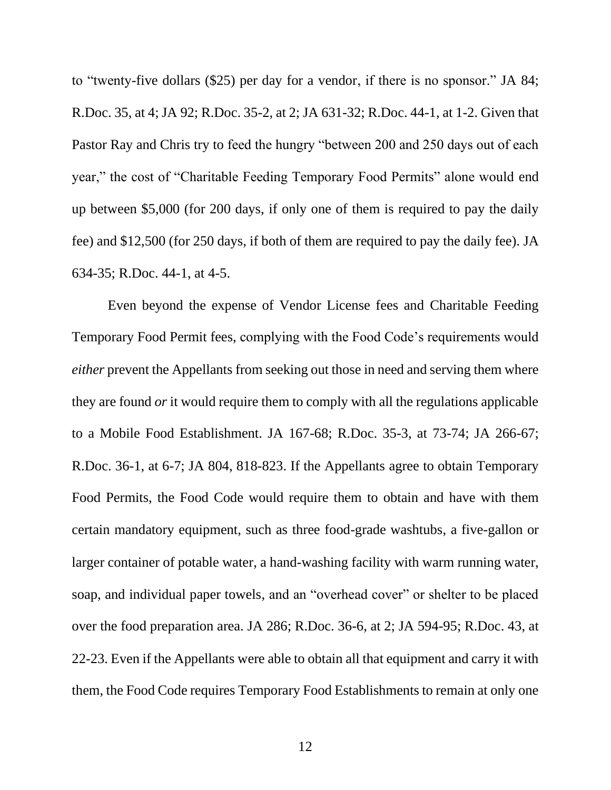to "twenty-five dollars (\$25) per day for a vendor, if there is no sponsor." JA 84; R.Doc. 35, at 4; JA 92; R.Doc. 35-2, at 2; JA 631-32; R.Doc. 44-1, at 1-2. Given that Pastor Ray and Chris try to feed the hungry "between 200 and 250 days out of each year," the cost of "Charitable Feeding Temporary Food Permits" alone would end up between \$5,000 (for 200 days, if only one of them is required to pay the daily fee) and \$12,500 (for 250 days, if both of them are required to pay the daily fee). JA 634-35; R.Doc. 44-1, at 4-5.

Even beyond the expense of Vendor License fees and Charitable Feeding Temporary Food Permit fees, complying with the Food Code's requirements would *either* prevent the Appellants from seeking out those in need and serving them where they are found *or* it would require them to comply with all the regulations applicable to a Mobile Food Establishment. JA 167-68; R.Doc. 35-3, at 73-74; JA 266-67; R.Doc. 36-1, at 6-7; JA 804, 818-823. If the Appellants agree to obtain Temporary Food Permits, the Food Code would require them to obtain and have with them certain mandatory equipment, such as three food-grade washtubs, a five-gallon or larger container of potable water, a hand-washing facility with warm running water, soap, and individual paper towels, and an "overhead cover" or shelter to be placed over the food preparation area. JA 286; R.Doc. 36-6, at 2; JA 594-95; R.Doc. 43, at 22-23. Even if the Appellants were able to obtain all that equipment and carry it with them, the Food Code requires Temporary Food Establishments to remain at only one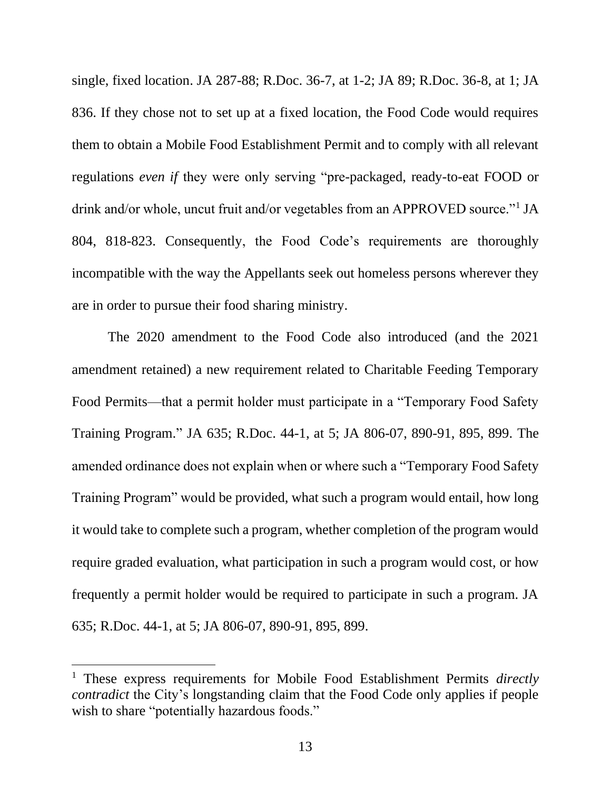single, fixed location. JA 287-88; R.Doc. 36-7, at 1-2; JA 89; R.Doc. 36-8, at 1; JA 836. If they chose not to set up at a fixed location, the Food Code would requires them to obtain a Mobile Food Establishment Permit and to comply with all relevant regulations *even if* they were only serving "pre-packaged, ready-to-eat FOOD or drink and/or whole, uncut fruit and/or vegetables from an APPROVED source."<sup>1</sup> JA 804, 818-823. Consequently, the Food Code's requirements are thoroughly incompatible with the way the Appellants seek out homeless persons wherever they are in order to pursue their food sharing ministry.

The 2020 amendment to the Food Code also introduced (and the 2021 amendment retained) a new requirement related to Charitable Feeding Temporary Food Permits—that a permit holder must participate in a "Temporary Food Safety Training Program." JA 635; R.Doc. 44-1, at 5; JA 806-07, 890-91, 895, 899. The amended ordinance does not explain when or where such a "Temporary Food Safety Training Program" would be provided, what such a program would entail, how long it would take to complete such a program, whether completion of the program would require graded evaluation, what participation in such a program would cost, or how frequently a permit holder would be required to participate in such a program. JA 635; R.Doc. 44-1, at 5; JA 806-07, 890-91, 895, 899.

<sup>1</sup> These express requirements for Mobile Food Establishment Permits *directly contradict* the City's longstanding claim that the Food Code only applies if people wish to share "potentially hazardous foods."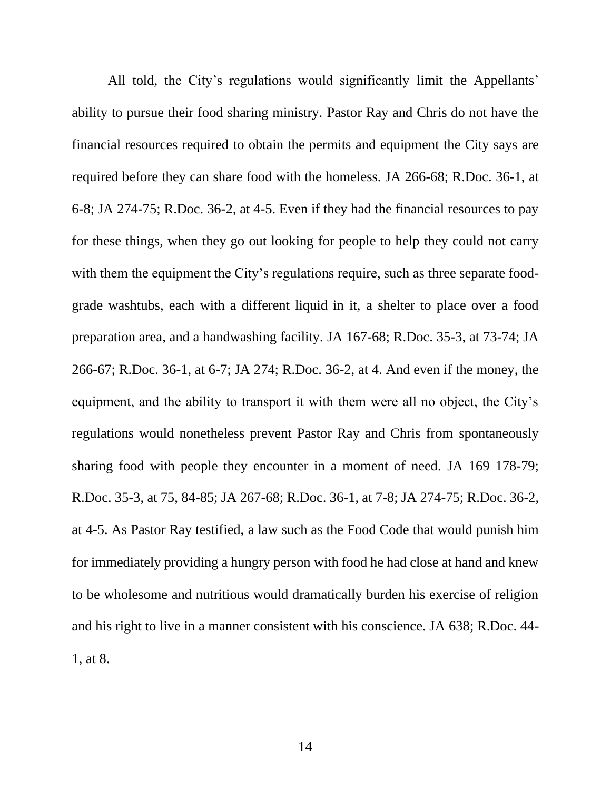All told, the City's regulations would significantly limit the Appellants' ability to pursue their food sharing ministry. Pastor Ray and Chris do not have the financial resources required to obtain the permits and equipment the City says are required before they can share food with the homeless. JA 266-68; R.Doc. 36-1, at 6-8; JA 274-75; R.Doc. 36-2, at 4-5. Even if they had the financial resources to pay for these things, when they go out looking for people to help they could not carry with them the equipment the City's regulations require, such as three separate foodgrade washtubs, each with a different liquid in it, a shelter to place over a food preparation area, and a handwashing facility. JA 167-68; R.Doc. 35-3, at 73-74; JA 266-67; R.Doc. 36-1, at 6-7; JA 274; R.Doc. 36-2, at 4. And even if the money, the equipment, and the ability to transport it with them were all no object, the City's regulations would nonetheless prevent Pastor Ray and Chris from spontaneously sharing food with people they encounter in a moment of need. JA 169 178-79; R.Doc. 35-3, at 75, 84-85; JA 267-68; R.Doc. 36-1, at 7-8; JA 274-75; R.Doc. 36-2, at 4-5. As Pastor Ray testified, a law such as the Food Code that would punish him for immediately providing a hungry person with food he had close at hand and knew to be wholesome and nutritious would dramatically burden his exercise of religion and his right to live in a manner consistent with his conscience. JA 638; R.Doc. 44- 1, at 8.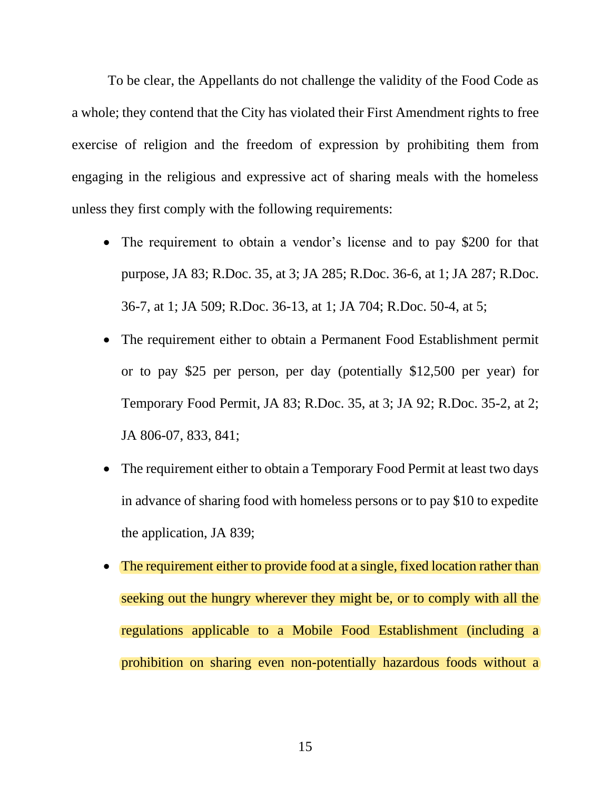To be clear, the Appellants do not challenge the validity of the Food Code as a whole; they contend that the City has violated their First Amendment rights to free exercise of religion and the freedom of expression by prohibiting them from engaging in the religious and expressive act of sharing meals with the homeless unless they first comply with the following requirements:

- The requirement to obtain a vendor's license and to pay \$200 for that purpose, JA 83; R.Doc. 35, at 3; JA 285; R.Doc. 36-6, at 1; JA 287; R.Doc. 36-7, at 1; JA 509; R.Doc. 36-13, at 1; JA 704; R.Doc. 50-4, at 5;
- The requirement either to obtain a Permanent Food Establishment permit or to pay \$25 per person, per day (potentially \$12,500 per year) for Temporary Food Permit, JA 83; R.Doc. 35, at 3; JA 92; R.Doc. 35-2, at 2; JA 806-07, 833, 841;
- The requirement either to obtain a Temporary Food Permit at least two days in advance of sharing food with homeless persons or to pay \$10 to expedite the application, JA 839;
- The requirement either to provide food at a single, fixed location rather than seeking out the hungry wherever they might be, or to comply with all the regulations applicable to a Mobile Food Establishment (including a prohibition on sharing even non-potentially hazardous foods without a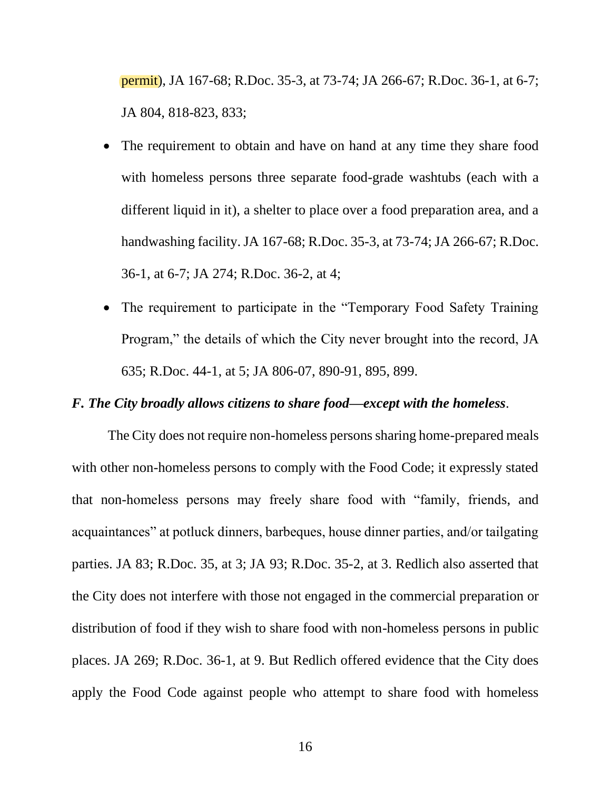permit), JA 167-68; R.Doc. 35-3, at 73-74; JA 266-67; R.Doc. 36-1, at 6-7; JA 804, 818-823, 833;

- The requirement to obtain and have on hand at any time they share food with homeless persons three separate food-grade washtubs (each with a different liquid in it), a shelter to place over a food preparation area, and a handwashing facility. JA 167-68; R.Doc. 35-3, at 73-74; JA 266-67; R.Doc. 36-1, at 6-7; JA 274; R.Doc. 36-2, at 4;
- The requirement to participate in the "Temporary Food Safety Training Program," the details of which the City never brought into the record, JA 635; R.Doc. 44-1, at 5; JA 806-07, 890-91, 895, 899.

### *F. The City broadly allows citizens to share food—except with the homeless*.

The City does not require non-homeless persons sharing home-prepared meals with other non-homeless persons to comply with the Food Code; it expressly stated that non-homeless persons may freely share food with "family, friends, and acquaintances" at potluck dinners, barbeques, house dinner parties, and/or tailgating parties. JA 83; R.Doc. 35, at 3; JA 93; R.Doc. 35-2, at 3. Redlich also asserted that the City does not interfere with those not engaged in the commercial preparation or distribution of food if they wish to share food with non-homeless persons in public places. JA 269; R.Doc. 36-1, at 9. But Redlich offered evidence that the City does apply the Food Code against people who attempt to share food with homeless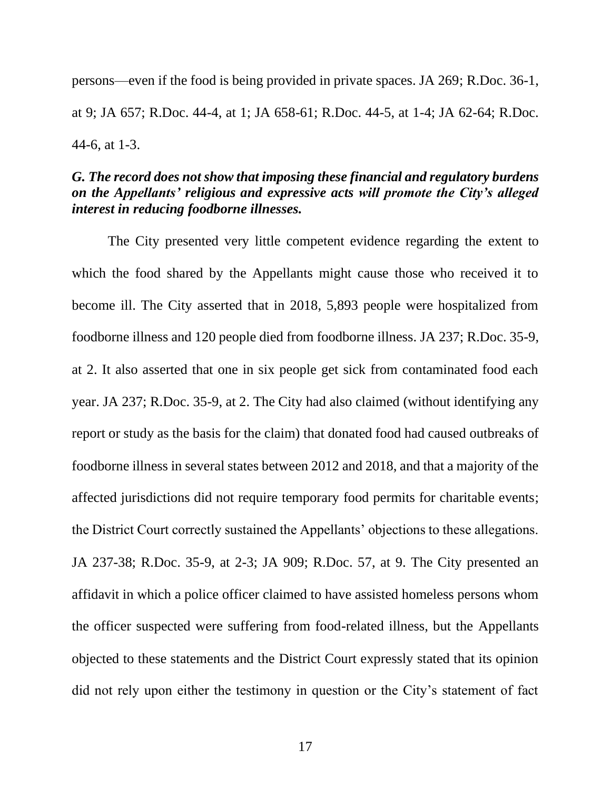persons—even if the food is being provided in private spaces. JA 269; R.Doc. 36-1, at 9; JA 657; R.Doc. 44-4, at 1; JA 658-61; R.Doc. 44-5, at 1-4; JA 62-64; R.Doc. 44-6, at 1-3.

# *G. The record does not show that imposing these financial and regulatory burdens on the Appellants' religious and expressive acts will promote the City's alleged interest in reducing foodborne illnesses.*

The City presented very little competent evidence regarding the extent to which the food shared by the Appellants might cause those who received it to become ill. The City asserted that in 2018, 5,893 people were hospitalized from foodborne illness and 120 people died from foodborne illness. JA 237; R.Doc. 35-9, at 2. It also asserted that one in six people get sick from contaminated food each year. JA 237; R.Doc. 35-9, at 2. The City had also claimed (without identifying any report or study as the basis for the claim) that donated food had caused outbreaks of foodborne illness in several states between 2012 and 2018, and that a majority of the affected jurisdictions did not require temporary food permits for charitable events; the District Court correctly sustained the Appellants' objections to these allegations. JA 237-38; R.Doc. 35-9, at 2-3; JA 909; R.Doc. 57, at 9. The City presented an affidavit in which a police officer claimed to have assisted homeless persons whom the officer suspected were suffering from food-related illness, but the Appellants objected to these statements and the District Court expressly stated that its opinion did not rely upon either the testimony in question or the City's statement of fact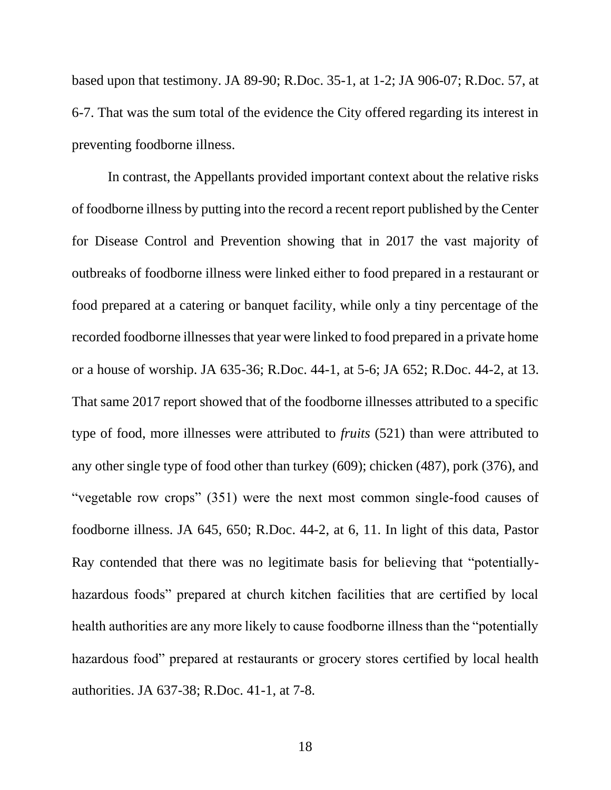based upon that testimony. JA 89-90; R.Doc. 35-1, at 1-2; JA 906-07; R.Doc. 57, at 6-7. That was the sum total of the evidence the City offered regarding its interest in preventing foodborne illness.

In contrast, the Appellants provided important context about the relative risks of foodborne illness by putting into the record a recent report published by the Center for Disease Control and Prevention showing that in 2017 the vast majority of outbreaks of foodborne illness were linked either to food prepared in a restaurant or food prepared at a catering or banquet facility, while only a tiny percentage of the recorded foodborne illnesses that year were linked to food prepared in a private home or a house of worship. JA 635-36; R.Doc. 44-1, at 5-6; JA 652; R.Doc. 44-2, at 13. That same 2017 report showed that of the foodborne illnesses attributed to a specific type of food, more illnesses were attributed to *fruits* (521) than were attributed to any other single type of food other than turkey (609); chicken (487), pork (376), and "vegetable row crops" (351) were the next most common single-food causes of foodborne illness. JA 645, 650; R.Doc. 44-2, at 6, 11. In light of this data, Pastor Ray contended that there was no legitimate basis for believing that "potentiallyhazardous foods" prepared at church kitchen facilities that are certified by local health authorities are any more likely to cause foodborne illness than the "potentially hazardous food" prepared at restaurants or grocery stores certified by local health authorities. JA 637-38; R.Doc. 41-1, at 7-8.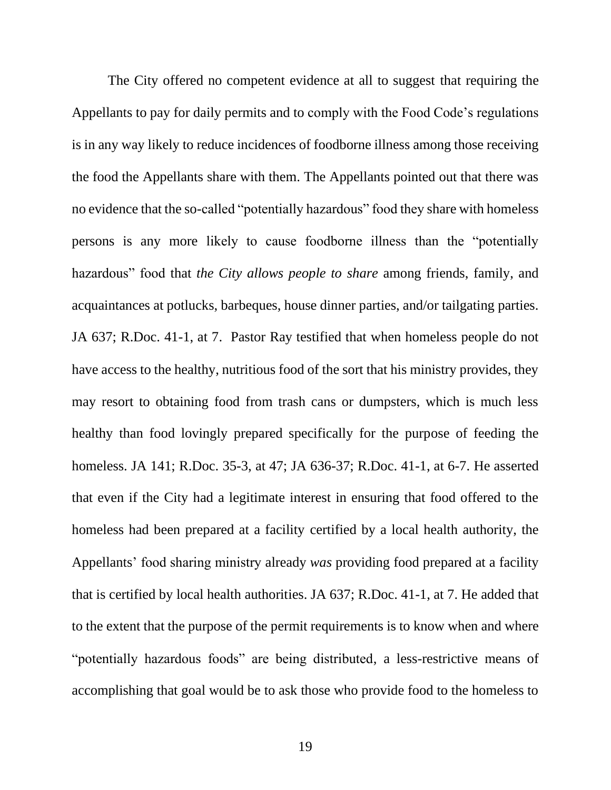The City offered no competent evidence at all to suggest that requiring the Appellants to pay for daily permits and to comply with the Food Code's regulations is in any way likely to reduce incidences of foodborne illness among those receiving the food the Appellants share with them. The Appellants pointed out that there was no evidence that the so-called "potentially hazardous" food they share with homeless persons is any more likely to cause foodborne illness than the "potentially hazardous" food that *the City allows people to share* among friends, family, and acquaintances at potlucks, barbeques, house dinner parties, and/or tailgating parties. JA 637; R.Doc. 41-1, at 7. Pastor Ray testified that when homeless people do not have access to the healthy, nutritious food of the sort that his ministry provides, they may resort to obtaining food from trash cans or dumpsters, which is much less healthy than food lovingly prepared specifically for the purpose of feeding the homeless. JA 141; R.Doc. 35-3, at 47; JA 636-37; R.Doc. 41-1, at 6-7. He asserted that even if the City had a legitimate interest in ensuring that food offered to the homeless had been prepared at a facility certified by a local health authority, the Appellants' food sharing ministry already *was* providing food prepared at a facility that is certified by local health authorities. JA 637; R.Doc. 41-1, at 7. He added that to the extent that the purpose of the permit requirements is to know when and where "potentially hazardous foods" are being distributed, a less-restrictive means of accomplishing that goal would be to ask those who provide food to the homeless to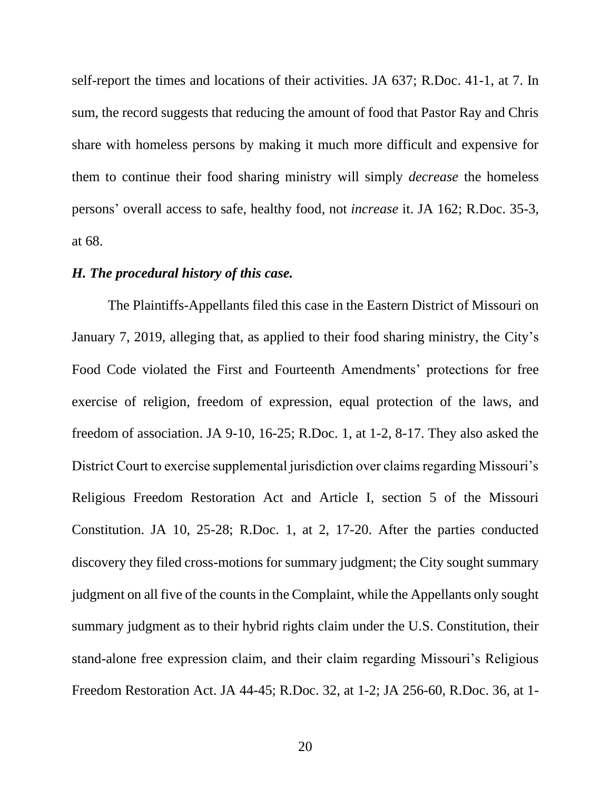self-report the times and locations of their activities. JA 637; R.Doc. 41-1, at 7. In sum, the record suggests that reducing the amount of food that Pastor Ray and Chris share with homeless persons by making it much more difficult and expensive for them to continue their food sharing ministry will simply *decrease* the homeless persons' overall access to safe, healthy food, not *increase* it. JA 162; R.Doc. 35-3, at 68.

#### *H. The procedural history of this case.*

The Plaintiffs-Appellants filed this case in the Eastern District of Missouri on January 7, 2019, alleging that, as applied to their food sharing ministry, the City's Food Code violated the First and Fourteenth Amendments' protections for free exercise of religion, freedom of expression, equal protection of the laws, and freedom of association. JA 9-10, 16-25; R.Doc. 1, at 1-2, 8-17. They also asked the District Court to exercise supplemental jurisdiction over claims regarding Missouri's Religious Freedom Restoration Act and Article I, section 5 of the Missouri Constitution. JA 10, 25-28; R.Doc. 1, at 2, 17-20. After the parties conducted discovery they filed cross-motions for summary judgment; the City sought summary judgment on all five of the counts in the Complaint, while the Appellants only sought summary judgment as to their hybrid rights claim under the U.S. Constitution, their stand-alone free expression claim, and their claim regarding Missouri's Religious Freedom Restoration Act. JA 44-45; R.Doc. 32, at 1-2; JA 256-60, R.Doc. 36, at 1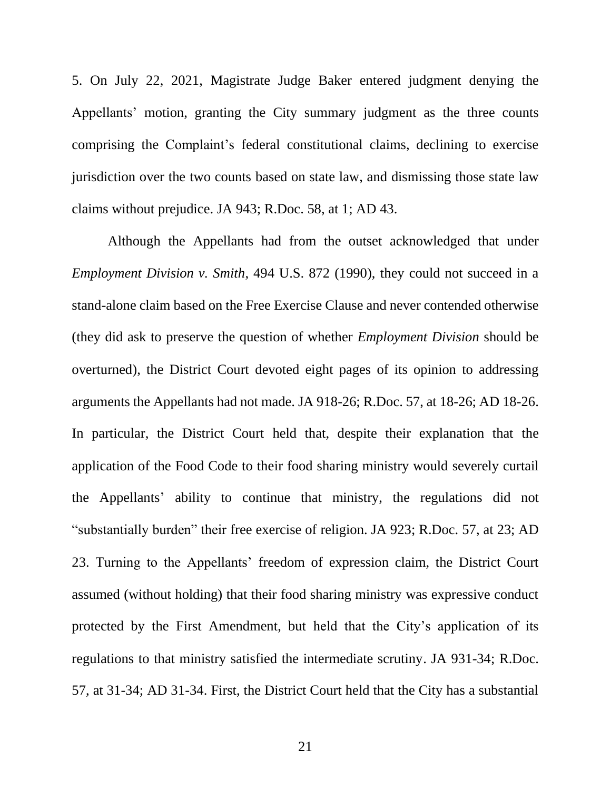5. On July 22, 2021, Magistrate Judge Baker entered judgment denying the Appellants' motion, granting the City summary judgment as the three counts comprising the Complaint's federal constitutional claims, declining to exercise jurisdiction over the two counts based on state law, and dismissing those state law claims without prejudice. JA 943; R.Doc. 58, at 1; AD 43.

Although the Appellants had from the outset acknowledged that under *Employment Division v. Smith*, 494 U.S. 872 (1990), they could not succeed in a stand-alone claim based on the Free Exercise Clause and never contended otherwise (they did ask to preserve the question of whether *Employment Division* should be overturned), the District Court devoted eight pages of its opinion to addressing arguments the Appellants had not made. JA 918-26; R.Doc. 57, at 18-26; AD 18-26. In particular, the District Court held that, despite their explanation that the application of the Food Code to their food sharing ministry would severely curtail the Appellants' ability to continue that ministry, the regulations did not "substantially burden" their free exercise of religion. JA 923; R.Doc. 57, at 23; AD 23. Turning to the Appellants' freedom of expression claim, the District Court assumed (without holding) that their food sharing ministry was expressive conduct protected by the First Amendment, but held that the City's application of its regulations to that ministry satisfied the intermediate scrutiny. JA 931-34; R.Doc. 57, at 31-34; AD 31-34. First, the District Court held that the City has a substantial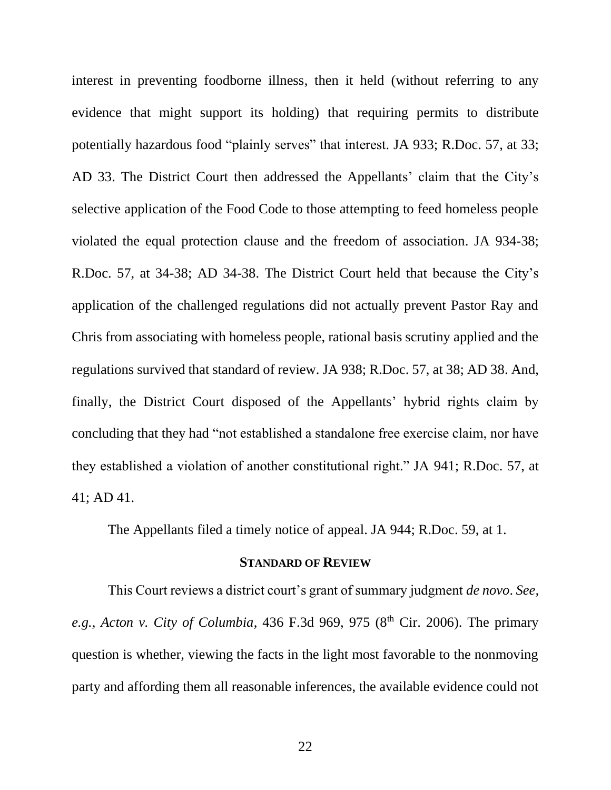interest in preventing foodborne illness, then it held (without referring to any evidence that might support its holding) that requiring permits to distribute potentially hazardous food "plainly serves" that interest. JA 933; R.Doc. 57, at 33; AD 33. The District Court then addressed the Appellants' claim that the City's selective application of the Food Code to those attempting to feed homeless people violated the equal protection clause and the freedom of association. JA 934-38; R.Doc. 57, at 34-38; AD 34-38. The District Court held that because the City's application of the challenged regulations did not actually prevent Pastor Ray and Chris from associating with homeless people, rational basis scrutiny applied and the regulations survived that standard of review. JA 938; R.Doc. 57, at 38; AD 38. And, finally, the District Court disposed of the Appellants' hybrid rights claim by concluding that they had "not established a standalone free exercise claim, nor have they established a violation of another constitutional right." JA 941; R.Doc. 57, at 41; AD 41.

The Appellants filed a timely notice of appeal. JA 944; R.Doc. 59, at 1.

#### **STANDARD OF REVIEW**

This Court reviews a district court's grant of summary judgment *de novo*. *See, e.g., Acton v. City of Columbia,* 436 F.3d 969, 975 (8<sup>th</sup> Cir. 2006). The primary question is whether, viewing the facts in the light most favorable to the nonmoving party and affording them all reasonable inferences, the available evidence could not

22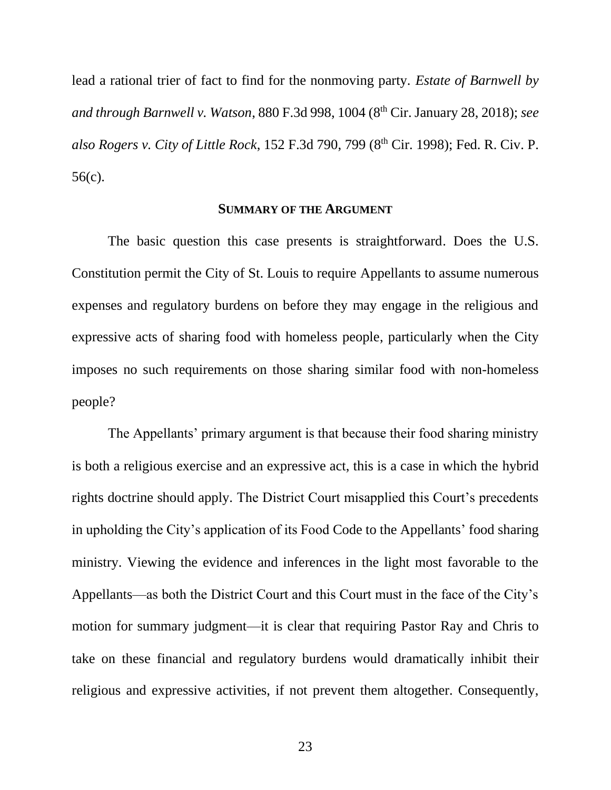lead a rational trier of fact to find for the nonmoving party. *Estate of Barnwell by and through Barnwell v. Watson,* 880 F.3d 998, 1004 (8<sup>th</sup> Cir. January 28, 2018); *see also Rogers v. City of Little Rock*, 152 F.3d 790, 799 (8th Cir. 1998); Fed. R. Civ. P. 56(c).

#### **SUMMARY OF THE ARGUMENT**

The basic question this case presents is straightforward. Does the U.S. Constitution permit the City of St. Louis to require Appellants to assume numerous expenses and regulatory burdens on before they may engage in the religious and expressive acts of sharing food with homeless people, particularly when the City imposes no such requirements on those sharing similar food with non-homeless people?

The Appellants' primary argument is that because their food sharing ministry is both a religious exercise and an expressive act, this is a case in which the hybrid rights doctrine should apply. The District Court misapplied this Court's precedents in upholding the City's application of its Food Code to the Appellants' food sharing ministry. Viewing the evidence and inferences in the light most favorable to the Appellants—as both the District Court and this Court must in the face of the City's motion for summary judgment—it is clear that requiring Pastor Ray and Chris to take on these financial and regulatory burdens would dramatically inhibit their religious and expressive activities, if not prevent them altogether. Consequently,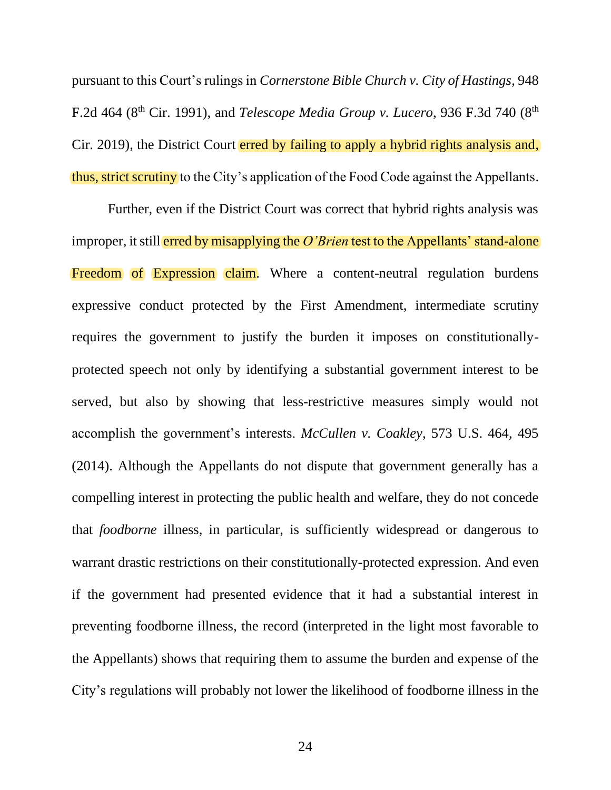pursuant to this Court's rulings in *Cornerstone Bible Church v. City of Hastings*, 948 F.2d 464 (8th Cir. 1991), and *Telescope Media Group v. Lucero*, 936 F.3d 740 (8th Cir. 2019), the District Court erred by failing to apply a hybrid rights analysis and, thus, strict scrutiny to the City's application of the Food Code against the Appellants.

Further, even if the District Court was correct that hybrid rights analysis was improper, it still erred by misapplying the *O'Brien* test to the Appellants' stand-alone Freedom of Expression claim. Where a content-neutral regulation burdens expressive conduct protected by the First Amendment, intermediate scrutiny requires the government to justify the burden it imposes on constitutionallyprotected speech not only by identifying a substantial government interest to be served, but also by showing that less-restrictive measures simply would not accomplish the government's interests. *McCullen v. Coakley*, 573 U.S. 464, 495 (2014). Although the Appellants do not dispute that government generally has a compelling interest in protecting the public health and welfare, they do not concede that *foodborne* illness, in particular, is sufficiently widespread or dangerous to warrant drastic restrictions on their constitutionally-protected expression. And even if the government had presented evidence that it had a substantial interest in preventing foodborne illness, the record (interpreted in the light most favorable to the Appellants) shows that requiring them to assume the burden and expense of the City's regulations will probably not lower the likelihood of foodborne illness in the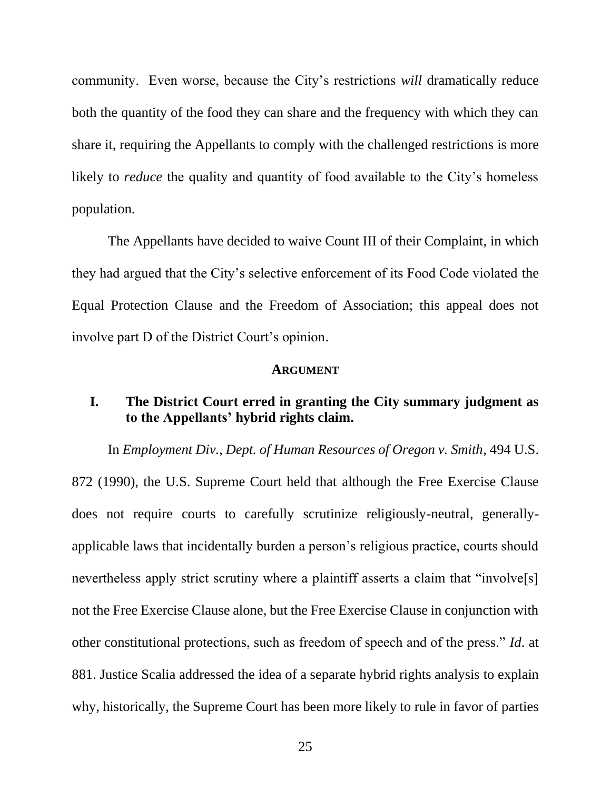community. Even worse, because the City's restrictions *will* dramatically reduce both the quantity of the food they can share and the frequency with which they can share it, requiring the Appellants to comply with the challenged restrictions is more likely to *reduce* the quality and quantity of food available to the City's homeless population.

The Appellants have decided to waive Count III of their Complaint, in which they had argued that the City's selective enforcement of its Food Code violated the Equal Protection Clause and the Freedom of Association; this appeal does not involve part D of the District Court's opinion.

#### **ARGUMENT**

# **I. The District Court erred in granting the City summary judgment as to the Appellants' hybrid rights claim.**

In *Employment Div., Dept. of Human Resources of Oregon v. Smith*, 494 U.S. 872 (1990), the U.S. Supreme Court held that although the Free Exercise Clause does not require courts to carefully scrutinize religiously-neutral, generallyapplicable laws that incidentally burden a person's religious practice, courts should nevertheless apply strict scrutiny where a plaintiff asserts a claim that "involve<sup>[s]</sup> not the Free Exercise Clause alone, but the Free Exercise Clause in conjunction with other constitutional protections, such as freedom of speech and of the press." *Id*. at 881. Justice Scalia addressed the idea of a separate hybrid rights analysis to explain why, historically, the Supreme Court has been more likely to rule in favor of parties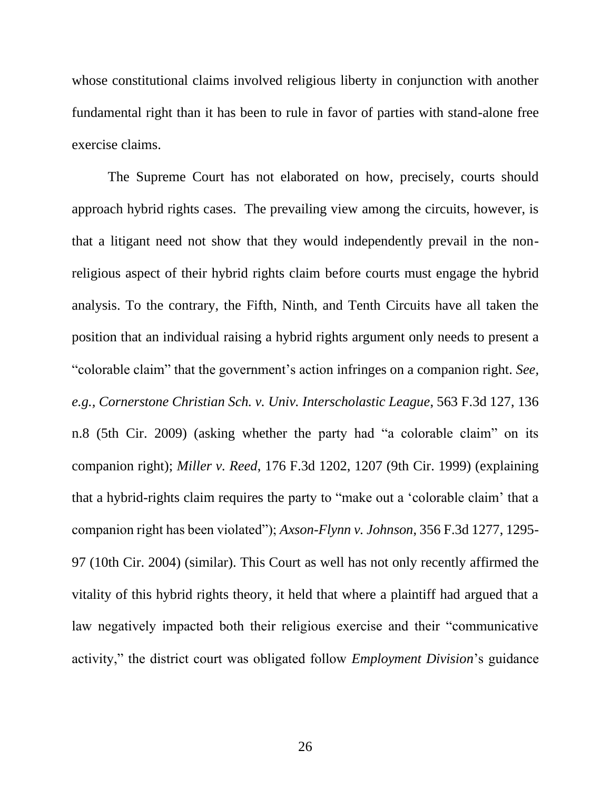whose constitutional claims involved religious liberty in conjunction with another fundamental right than it has been to rule in favor of parties with stand-alone free exercise claims.

The Supreme Court has not elaborated on how, precisely, courts should approach hybrid rights cases. The prevailing view among the circuits, however, is that a litigant need not show that they would independently prevail in the nonreligious aspect of their hybrid rights claim before courts must engage the hybrid analysis. To the contrary, the Fifth, Ninth, and Tenth Circuits have all taken the position that an individual raising a hybrid rights argument only needs to present a "colorable claim" that the government's action infringes on a companion right. *See, e.g., Cornerstone Christian Sch. v. Univ. Interscholastic League*, 563 F.3d 127, 136 n.8 (5th Cir. 2009) (asking whether the party had "a colorable claim" on its companion right); *Miller v. Reed*, 176 F.3d 1202, 1207 (9th Cir. 1999) (explaining that a hybrid-rights claim requires the party to "make out a 'colorable claim' that a companion right has been violated"); *Axson-Flynn v. Johnson*, 356 F.3d 1277, 1295- 97 (10th Cir. 2004) (similar). This Court as well has not only recently affirmed the vitality of this hybrid rights theory, it held that where a plaintiff had argued that a law negatively impacted both their religious exercise and their "communicative activity," the district court was obligated follow *Employment Division*'s guidance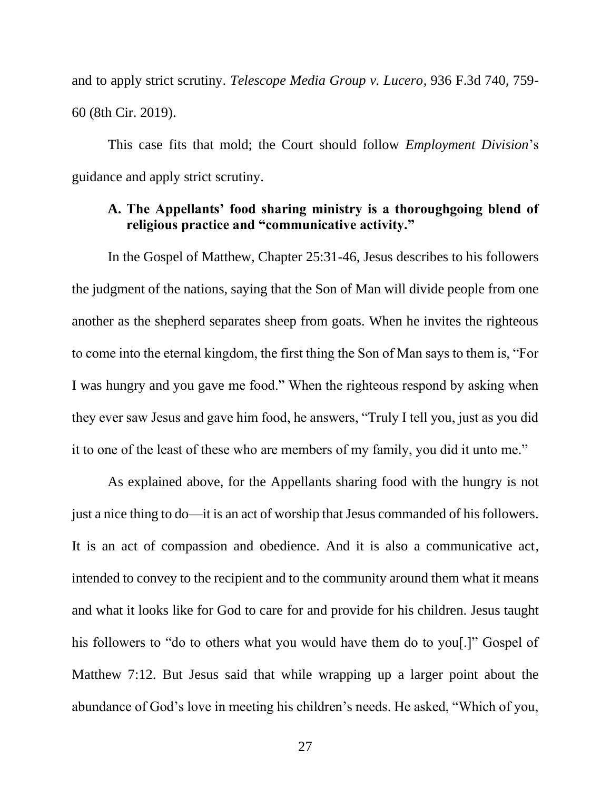and to apply strict scrutiny. *Telescope Media Group v. Lucero*, 936 F.3d 740, 759- 60 (8th Cir. 2019).

This case fits that mold; the Court should follow *Employment Division*'s guidance and apply strict scrutiny.

# **A. The Appellants' food sharing ministry is a thoroughgoing blend of religious practice and "communicative activity."**

In the Gospel of Matthew, Chapter 25:31-46, Jesus describes to his followers the judgment of the nations, saying that the Son of Man will divide people from one another as the shepherd separates sheep from goats. When he invites the righteous to come into the eternal kingdom, the first thing the Son of Man says to them is, "For I was hungry and you gave me food." When the righteous respond by asking when they ever saw Jesus and gave him food, he answers, "Truly I tell you, just as you did it to one of the least of these who are members of my family, you did it unto me."

As explained above, for the Appellants sharing food with the hungry is not just a nice thing to do—it is an act of worship that Jesus commanded of his followers. It is an act of compassion and obedience. And it is also a communicative act, intended to convey to the recipient and to the community around them what it means and what it looks like for God to care for and provide for his children. Jesus taught his followers to "do to others what you would have them do to you<sup>[1]</sup>. Gospel of Matthew 7:12. But Jesus said that while wrapping up a larger point about the abundance of God's love in meeting his children's needs. He asked, "Which of you,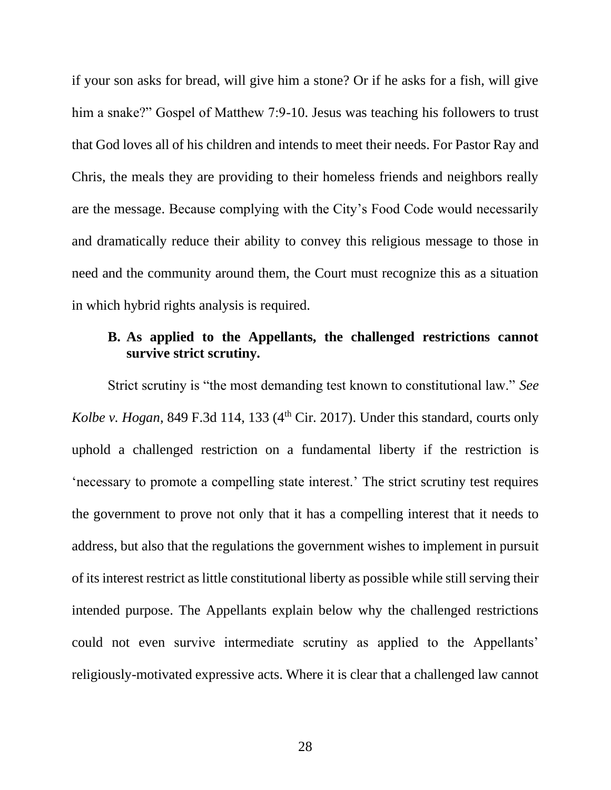if your son asks for bread, will give him a stone? Or if he asks for a fish, will give him a snake?" Gospel of Matthew 7:9-10. Jesus was teaching his followers to trust that God loves all of his children and intends to meet their needs. For Pastor Ray and Chris, the meals they are providing to their homeless friends and neighbors really are the message. Because complying with the City's Food Code would necessarily and dramatically reduce their ability to convey this religious message to those in need and the community around them, the Court must recognize this as a situation in which hybrid rights analysis is required.

# **B. As applied to the Appellants, the challenged restrictions cannot survive strict scrutiny.**

Strict scrutiny is "the most demanding test known to constitutional law." *See Kolbe v. Hogan*, 849 F.3d 114, 133 (4<sup>th</sup> Cir. 2017). Under this standard, courts only uphold a challenged restriction on a fundamental liberty if the restriction is 'necessary to promote a compelling state interest.' The strict scrutiny test requires the government to prove not only that it has a compelling interest that it needs to address, but also that the regulations the government wishes to implement in pursuit of its interest restrict as little constitutional liberty as possible while still serving their intended purpose. The Appellants explain below why the challenged restrictions could not even survive intermediate scrutiny as applied to the Appellants' religiously-motivated expressive acts. Where it is clear that a challenged law cannot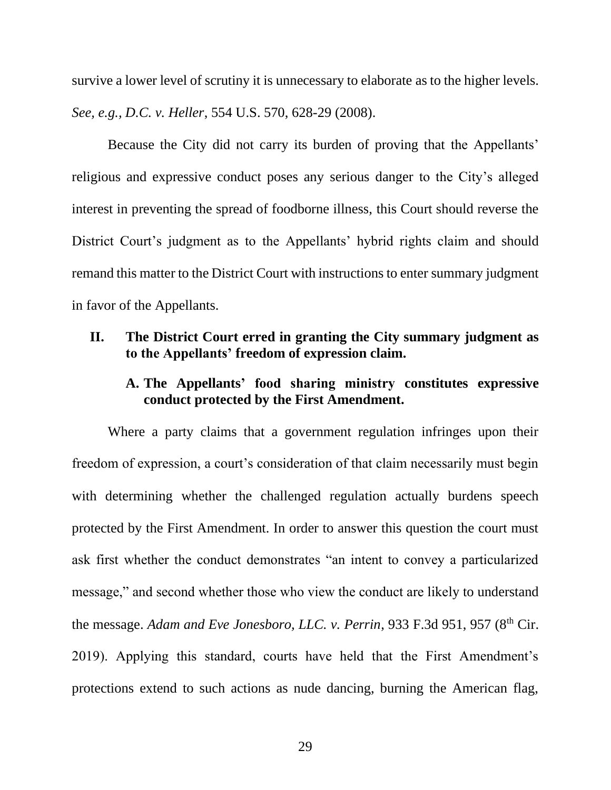survive a lower level of scrutiny it is unnecessary to elaborate as to the higher levels. *See, e.g., D.C. v. Heller*, 554 U.S. 570, 628-29 (2008).

Because the City did not carry its burden of proving that the Appellants' religious and expressive conduct poses any serious danger to the City's alleged interest in preventing the spread of foodborne illness, this Court should reverse the District Court's judgment as to the Appellants' hybrid rights claim and should remand this matter to the District Court with instructions to enter summary judgment in favor of the Appellants.

## **II. The District Court erred in granting the City summary judgment as to the Appellants' freedom of expression claim.**

# **A. The Appellants' food sharing ministry constitutes expressive conduct protected by the First Amendment.**

Where a party claims that a government regulation infringes upon their freedom of expression, a court's consideration of that claim necessarily must begin with determining whether the challenged regulation actually burdens speech protected by the First Amendment. In order to answer this question the court must ask first whether the conduct demonstrates "an intent to convey a particularized message," and second whether those who view the conduct are likely to understand the message. *Adam and Eve Jonesboro, LLC. v. Perrin*, 933 F.3d 951, 957 (8<sup>th</sup> Cir. 2019). Applying this standard, courts have held that the First Amendment's protections extend to such actions as nude dancing, burning the American flag,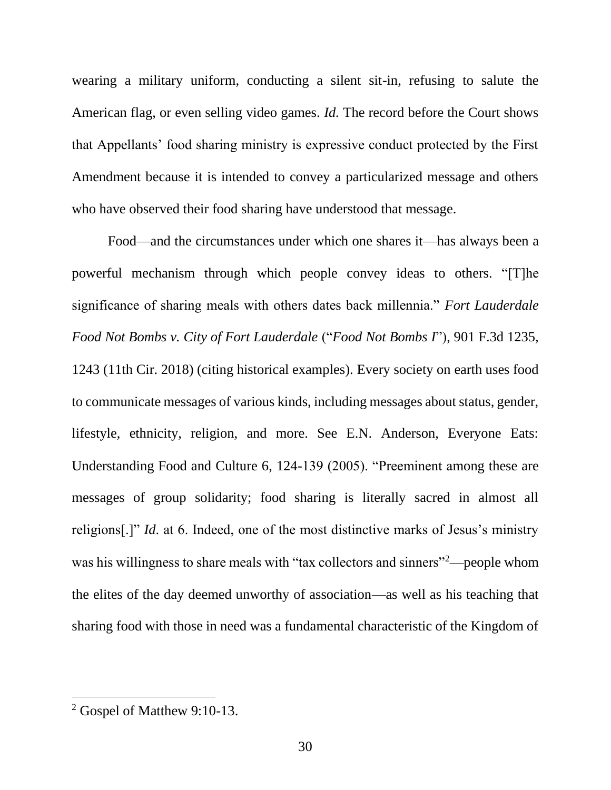wearing a military uniform, conducting a silent sit-in, refusing to salute the American flag, or even selling video games. *Id.* The record before the Court shows that Appellants' food sharing ministry is expressive conduct protected by the First Amendment because it is intended to convey a particularized message and others who have observed their food sharing have understood that message.

Food—and the circumstances under which one shares it—has always been a powerful mechanism through which people convey ideas to others. "[T]he significance of sharing meals with others dates back millennia." *Fort Lauderdale Food Not Bombs v. City of Fort Lauderdale* ("*Food Not Bombs I*"), 901 F.3d 1235, 1243 (11th Cir. 2018) (citing historical examples). Every society on earth uses food to communicate messages of various kinds, including messages about status, gender, lifestyle, ethnicity, religion, and more. See E.N. Anderson, Everyone Eats: Understanding Food and Culture 6, 124-139 (2005). "Preeminent among these are messages of group solidarity; food sharing is literally sacred in almost all religions[.]" *Id*. at 6. Indeed, one of the most distinctive marks of Jesus's ministry was his willingness to share meals with "tax collectors and sinners"<sup>2</sup>—people whom the elites of the day deemed unworthy of association—as well as his teaching that sharing food with those in need was a fundamental characteristic of the Kingdom of

<sup>2</sup> Gospel of Matthew 9:10-13.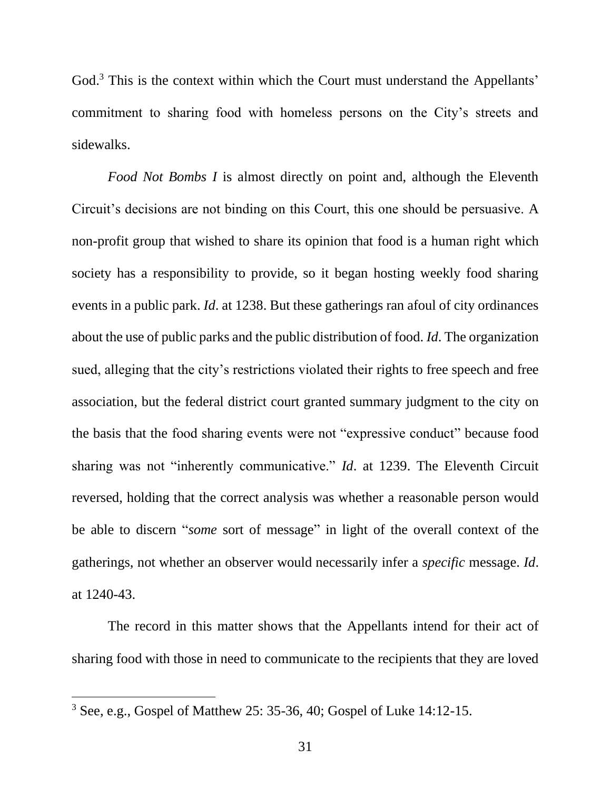God.<sup>3</sup> This is the context within which the Court must understand the Appellants' commitment to sharing food with homeless persons on the City's streets and sidewalks.

*Food Not Bombs I* is almost directly on point and, although the Eleventh Circuit's decisions are not binding on this Court, this one should be persuasive. A non-profit group that wished to share its opinion that food is a human right which society has a responsibility to provide, so it began hosting weekly food sharing events in a public park. *Id*. at 1238. But these gatherings ran afoul of city ordinances about the use of public parks and the public distribution of food. *Id*. The organization sued, alleging that the city's restrictions violated their rights to free speech and free association, but the federal district court granted summary judgment to the city on the basis that the food sharing events were not "expressive conduct" because food sharing was not "inherently communicative." *Id*. at 1239. The Eleventh Circuit reversed, holding that the correct analysis was whether a reasonable person would be able to discern "*some* sort of message" in light of the overall context of the gatherings, not whether an observer would necessarily infer a *specific* message. *Id*. at 1240-43.

The record in this matter shows that the Appellants intend for their act of sharing food with those in need to communicate to the recipients that they are loved

<sup>3</sup> See, e.g., Gospel of Matthew 25: 35-36, 40; Gospel of Luke 14:12-15.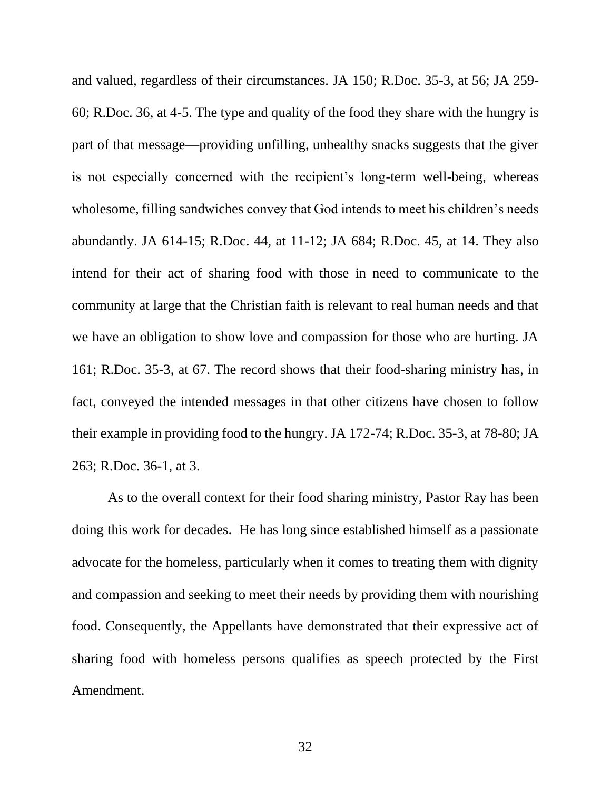and valued, regardless of their circumstances. JA 150; R.Doc. 35-3, at 56; JA 259- 60; R.Doc. 36, at 4-5. The type and quality of the food they share with the hungry is part of that message—providing unfilling, unhealthy snacks suggests that the giver is not especially concerned with the recipient's long-term well-being, whereas wholesome, filling sandwiches convey that God intends to meet his children's needs abundantly. JA 614-15; R.Doc. 44, at 11-12; JA 684; R.Doc. 45, at 14. They also intend for their act of sharing food with those in need to communicate to the community at large that the Christian faith is relevant to real human needs and that we have an obligation to show love and compassion for those who are hurting. JA 161; R.Doc. 35-3, at 67. The record shows that their food-sharing ministry has, in fact, conveyed the intended messages in that other citizens have chosen to follow their example in providing food to the hungry. JA 172-74; R.Doc. 35-3, at 78-80; JA 263; R.Doc. 36-1, at 3.

As to the overall context for their food sharing ministry, Pastor Ray has been doing this work for decades. He has long since established himself as a passionate advocate for the homeless, particularly when it comes to treating them with dignity and compassion and seeking to meet their needs by providing them with nourishing food. Consequently, the Appellants have demonstrated that their expressive act of sharing food with homeless persons qualifies as speech protected by the First Amendment.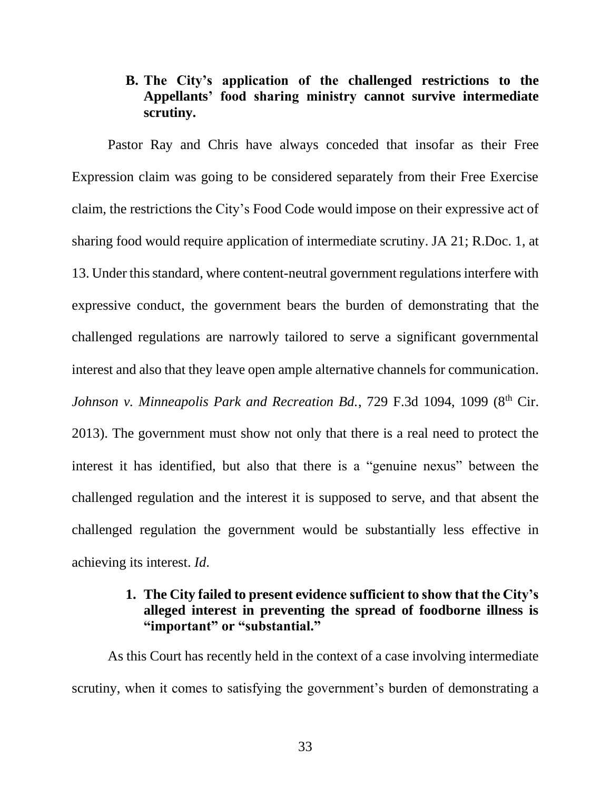# **B. The City's application of the challenged restrictions to the Appellants' food sharing ministry cannot survive intermediate scrutiny.**

Pastor Ray and Chris have always conceded that insofar as their Free Expression claim was going to be considered separately from their Free Exercise claim, the restrictions the City's Food Code would impose on their expressive act of sharing food would require application of intermediate scrutiny. JA 21; R.Doc. 1, at 13. Under this standard, where content-neutral government regulations interfere with expressive conduct, the government bears the burden of demonstrating that the challenged regulations are narrowly tailored to serve a significant governmental interest and also that they leave open ample alternative channels for communication. *Johnson v. Minneapolis Park and Recreation Bd., 729 F.3d 1094, 1099 (8<sup>th</sup> Cir.)* 2013). The government must show not only that there is a real need to protect the interest it has identified, but also that there is a "genuine nexus" between the challenged regulation and the interest it is supposed to serve, and that absent the challenged regulation the government would be substantially less effective in achieving its interest. *Id*.

# **1. The City failed to present evidence sufficient to show that the City's alleged interest in preventing the spread of foodborne illness is "important" or "substantial."**

As this Court has recently held in the context of a case involving intermediate scrutiny, when it comes to satisfying the government's burden of demonstrating a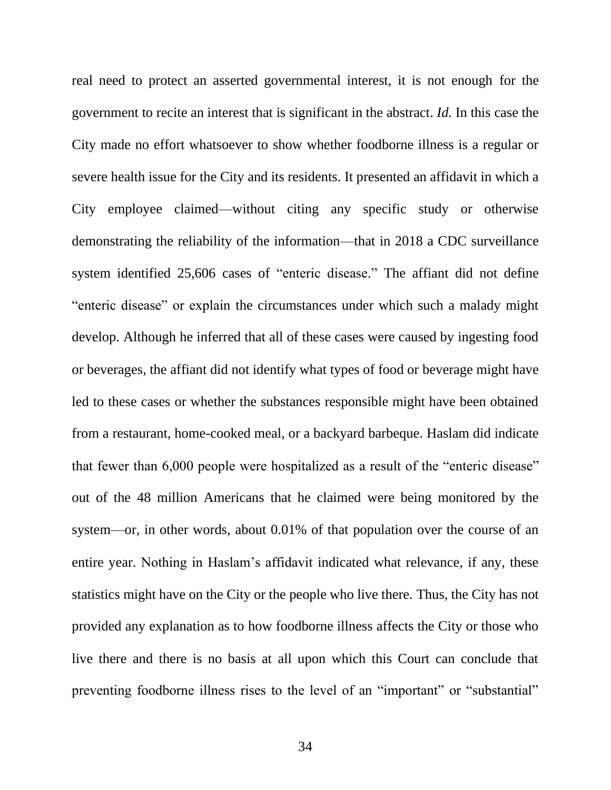real need to protect an asserted governmental interest, it is not enough for the government to recite an interest that is significant in the abstract. *Id.* In this case the City made no effort whatsoever to show whether foodborne illness is a regular or severe health issue for the City and its residents. It presented an affidavit in which a City employee claimed—without citing any specific study or otherwise demonstrating the reliability of the information—that in 2018 a CDC surveillance system identified 25,606 cases of "enteric disease." The affiant did not define "enteric disease" or explain the circumstances under which such a malady might develop. Although he inferred that all of these cases were caused by ingesting food or beverages, the affiant did not identify what types of food or beverage might have led to these cases or whether the substances responsible might have been obtained from a restaurant, home-cooked meal, or a backyard barbeque. Haslam did indicate that fewer than 6,000 people were hospitalized as a result of the "enteric disease" out of the 48 million Americans that he claimed were being monitored by the system—or, in other words, about 0.01% of that population over the course of an entire year. Nothing in Haslam's affidavit indicated what relevance, if any, these statistics might have on the City or the people who live there. Thus, the City has not provided any explanation as to how foodborne illness affects the City or those who live there and there is no basis at all upon which this Court can conclude that preventing foodborne illness rises to the level of an "important" or "substantial"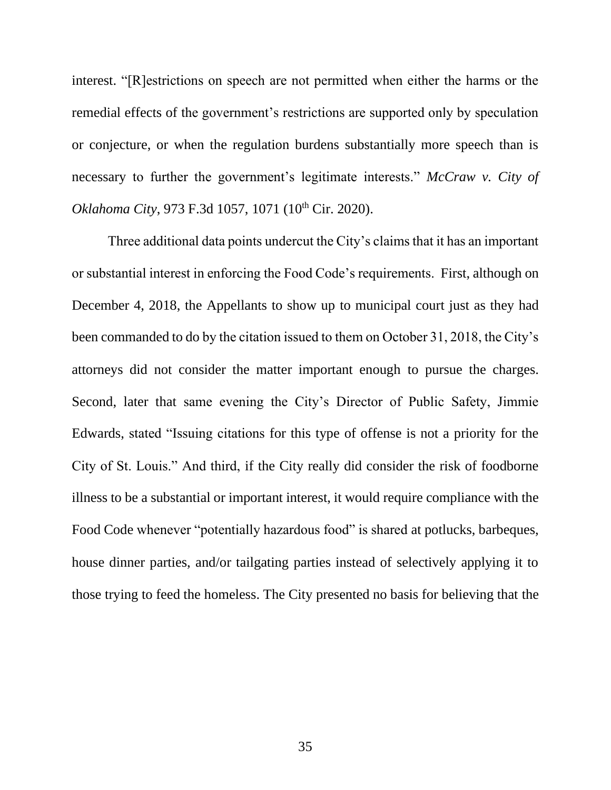interest. "[R]estrictions on speech are not permitted when either the harms or the remedial effects of the government's restrictions are supported only by speculation or conjecture, or when the regulation burdens substantially more speech than is necessary to further the government's legitimate interests." *McCraw v. City of Oklahoma City*, 973 F.3d 1057, 1071 (10<sup>th</sup> Cir. 2020).

Three additional data points undercut the City's claims that it has an important or substantial interest in enforcing the Food Code's requirements. First, although on December 4, 2018, the Appellants to show up to municipal court just as they had been commanded to do by the citation issued to them on October 31, 2018, the City's attorneys did not consider the matter important enough to pursue the charges. Second, later that same evening the City's Director of Public Safety, Jimmie Edwards, stated "Issuing citations for this type of offense is not a priority for the City of St. Louis." And third, if the City really did consider the risk of foodborne illness to be a substantial or important interest, it would require compliance with the Food Code whenever "potentially hazardous food" is shared at potlucks, barbeques, house dinner parties, and/or tailgating parties instead of selectively applying it to those trying to feed the homeless. The City presented no basis for believing that the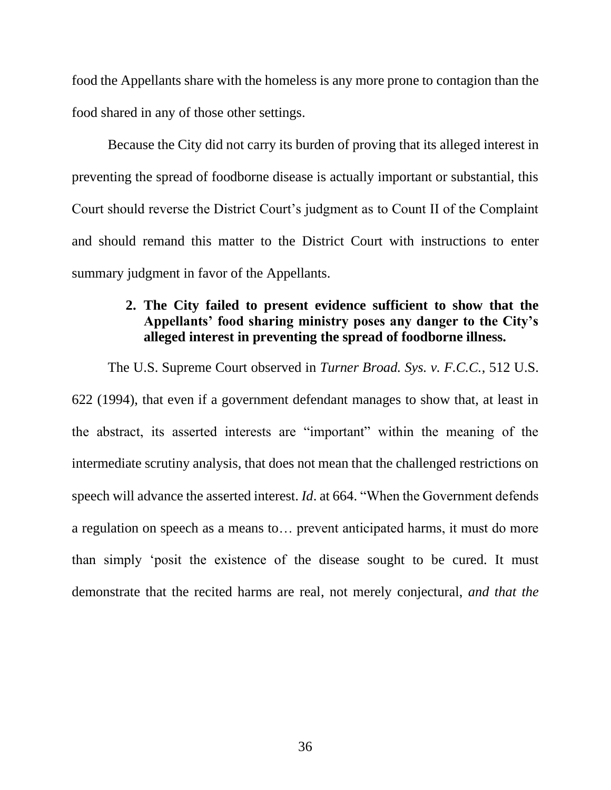food the Appellants share with the homeless is any more prone to contagion than the food shared in any of those other settings.

Because the City did not carry its burden of proving that its alleged interest in preventing the spread of foodborne disease is actually important or substantial, this Court should reverse the District Court's judgment as to Count II of the Complaint and should remand this matter to the District Court with instructions to enter summary judgment in favor of the Appellants.

# **2. The City failed to present evidence sufficient to show that the Appellants' food sharing ministry poses any danger to the City's alleged interest in preventing the spread of foodborne illness.**

The U.S. Supreme Court observed in *Turner Broad. Sys. v. F.C.C.*, 512 U.S. 622 (1994), that even if a government defendant manages to show that, at least in the abstract, its asserted interests are "important" within the meaning of the intermediate scrutiny analysis, that does not mean that the challenged restrictions on speech will advance the asserted interest. *Id*. at 664. "When the Government defends a regulation on speech as a means to… prevent anticipated harms, it must do more than simply 'posit the existence of the disease sought to be cured. It must demonstrate that the recited harms are real, not merely conjectural, *and that the*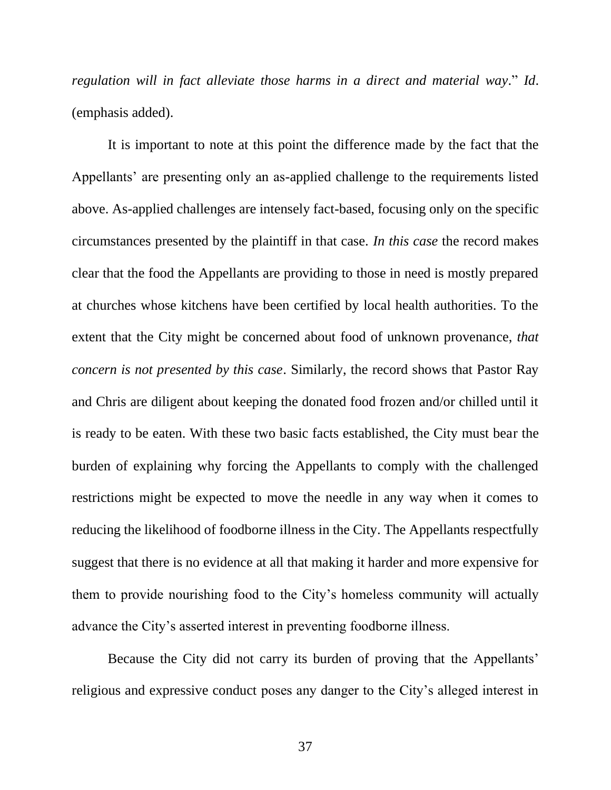*regulation will in fact alleviate those harms in a direct and material way*." *Id*. (emphasis added).

It is important to note at this point the difference made by the fact that the Appellants' are presenting only an as-applied challenge to the requirements listed above. As-applied challenges are intensely fact-based, focusing only on the specific circumstances presented by the plaintiff in that case. *In this case* the record makes clear that the food the Appellants are providing to those in need is mostly prepared at churches whose kitchens have been certified by local health authorities. To the extent that the City might be concerned about food of unknown provenance, *that concern is not presented by this case*. Similarly, the record shows that Pastor Ray and Chris are diligent about keeping the donated food frozen and/or chilled until it is ready to be eaten. With these two basic facts established, the City must bear the burden of explaining why forcing the Appellants to comply with the challenged restrictions might be expected to move the needle in any way when it comes to reducing the likelihood of foodborne illness in the City. The Appellants respectfully suggest that there is no evidence at all that making it harder and more expensive for them to provide nourishing food to the City's homeless community will actually advance the City's asserted interest in preventing foodborne illness.

Because the City did not carry its burden of proving that the Appellants' religious and expressive conduct poses any danger to the City's alleged interest in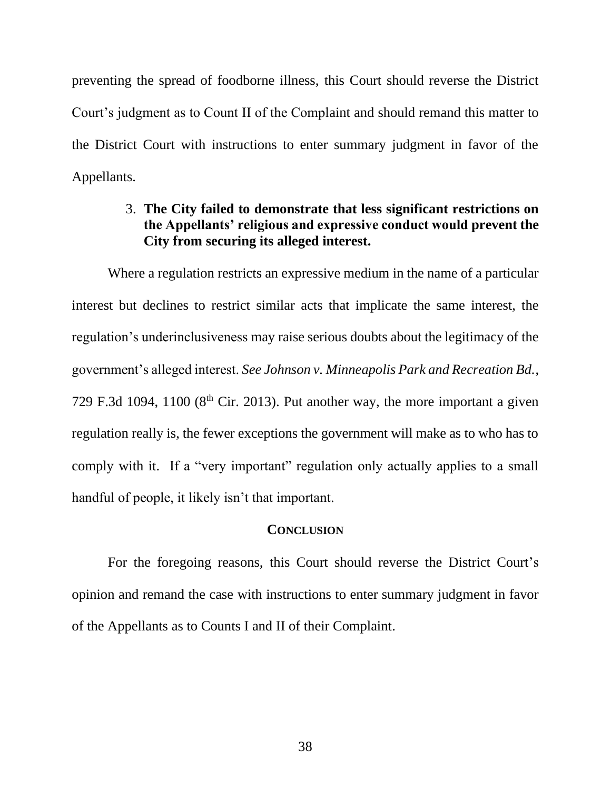preventing the spread of foodborne illness, this Court should reverse the District Court's judgment as to Count II of the Complaint and should remand this matter to the District Court with instructions to enter summary judgment in favor of the Appellants.

# 3. **The City failed to demonstrate that less significant restrictions on the Appellants' religious and expressive conduct would prevent the City from securing its alleged interest.**

Where a regulation restricts an expressive medium in the name of a particular interest but declines to restrict similar acts that implicate the same interest, the regulation's underinclusiveness may raise serious doubts about the legitimacy of the government's alleged interest. *See Johnson v. Minneapolis Park and Recreation Bd.*, 729 F.3d 1094, 1100 ( $8<sup>th</sup>$  Cir. 2013). Put another way, the more important a given regulation really is, the fewer exceptions the government will make as to who has to comply with it. If a "very important" regulation only actually applies to a small handful of people, it likely isn't that important.

#### **CONCLUSION**

For the foregoing reasons, this Court should reverse the District Court's opinion and remand the case with instructions to enter summary judgment in favor of the Appellants as to Counts I and II of their Complaint.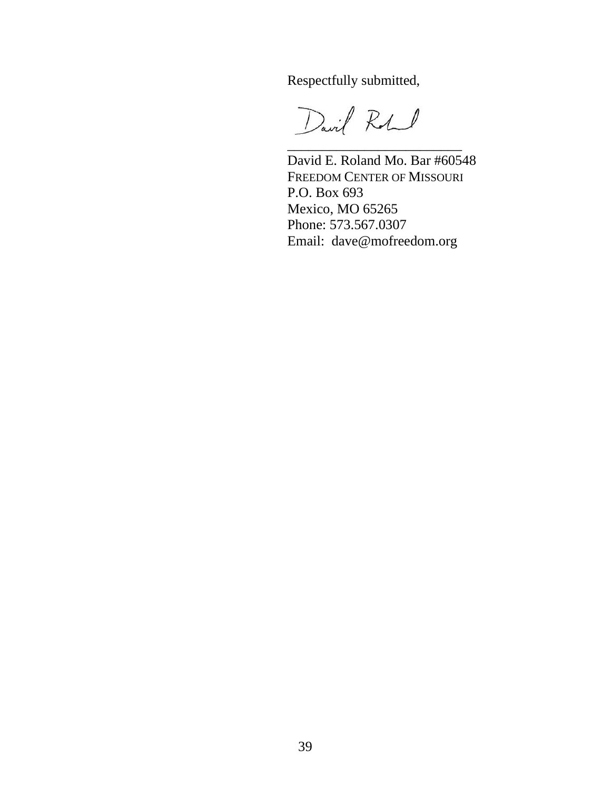Respectfully submitted,

David Robert

David E. Roland Mo. Bar #60548 FREEDOM CENTER OF MISSOURI P.O. Box 693 Mexico, MO 65265 Phone: 573.567.0307 Email: dave@mofreedom.org

\_\_\_\_\_\_\_\_\_\_\_\_\_\_\_\_\_\_\_\_\_\_\_\_\_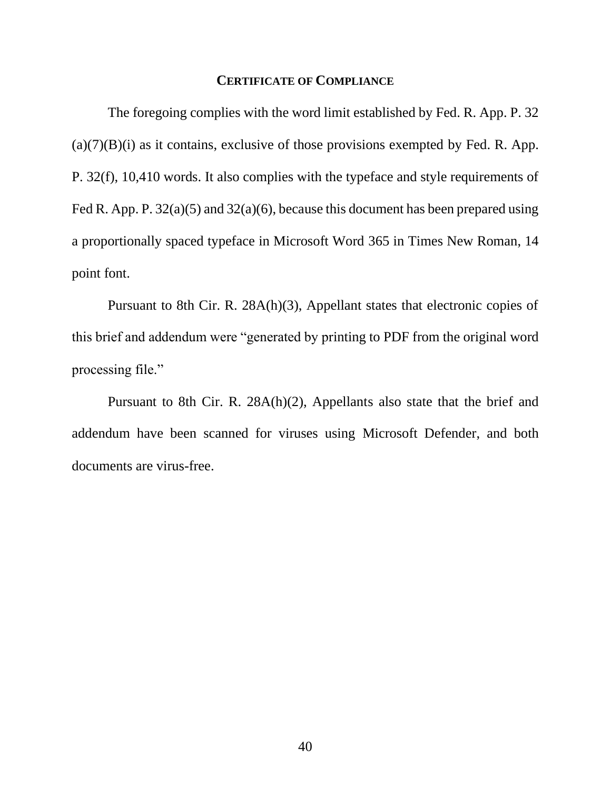#### **CERTIFICATE OF COMPLIANCE**

The foregoing complies with the word limit established by Fed. R. App. P. 32  $(a)(7)(B)(i)$  as it contains, exclusive of those provisions exempted by Fed. R. App. P. 32(f), 10,410 words. It also complies with the typeface and style requirements of Fed R. App. P.  $32(a)(5)$  and  $32(a)(6)$ , because this document has been prepared using a proportionally spaced typeface in Microsoft Word 365 in Times New Roman, 14 point font.

Pursuant to 8th Cir. R. 28A(h)(3), Appellant states that electronic copies of this brief and addendum were "generated by printing to PDF from the original word processing file."

Pursuant to 8th Cir. R. 28A(h)(2), Appellants also state that the brief and addendum have been scanned for viruses using Microsoft Defender, and both documents are virus-free.